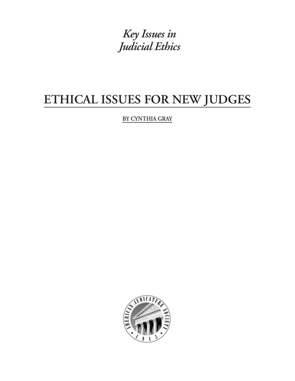*Key Issues in Judicial Ethics*

# **ETHICAL ISSUES FOR NEW JUDGES**

**BY CYNTHIA GRAY**

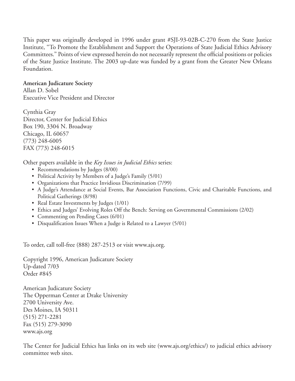This paper was originally developed in 1996 under grant #SJI-93-02B-C-270 from the State Justice Institute, ''To Promote the Establishment and Support the Operations of State Judicial Ethics Advisory Committees.'' Points of view expressed herein do not necessarily represent the official positions or policies of the State Justice Institute. The 2003 up-date was funded by a grant from the Greater New Orleans Foundation.

**American Judicature Society** Allan D. Sobel Executive Vice President and Director

Cynthia Gray Director, Center for Judicial Ethics Box 190, 3304 N. Broadway Chicago, IL 60657 (773) 248-6005 FAX (773) 248-6015

Other papers available in the *Key Issues in Judicial Ethics* series:

- Recommendations by Judges (8/00)
- Political Activity by Members of a Judge's Family (5/01)
- Organizations that Practice Invidious Discrimination (7/99)
- A Judge's Attendance at Social Events, Bar Association Functions, Civic and Charitable Functions, and Political Gatherings (8/98)
- Real Estate Investments by Judges (1/01)
- Ethics and Judges' Evolving Roles Off the Bench: Serving on Governmental Commissions (2/02)
- Commenting on Pending Cases (6/01)
- Disqualification Issues When a Judge is Related to a Lawyer (5/01)

To order, call toll-free (888) 287-2513 or visit www.ajs.org.

Copyright 1996, American Judicature Society Up-dated 7/03 Order #845

American Judicature Society The Opperman Center at Drake University 2700 University Ave. Des Moines, IA 50311 (515) 271-2281 Fax (515) 279-3090 www.ajs.org

The Center for Judicial Ethics has links on its web site (www.ajs.org/ethics/) to judicial ethics advisory committee web sites.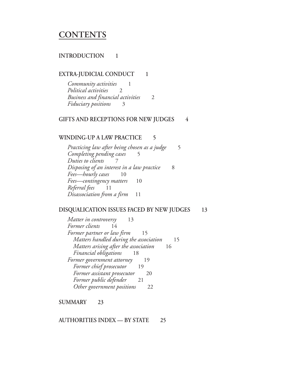## **CONTENTS**

#### **INTRODUCTION 1**

#### **EXTRA-JUDICIAL CONDUCT 1**

*Community activities* 1 *Political activities* 2 *Business and financial activities* 2 *Fiduciary positions* 3

#### **GIFTS AND RECEPTIONS FOR NEW JUDGES 4**

#### **WINDING-UP A LAW PRACTICE 5**

*Practicing law after being chosen as a judge* 5 *Completing pending cases* 5 *Duties to clients* 7 *Disposing of an interest in a law practice* 8 *Fees—hourly cases* 10 *Fees—contingency matters* 10 *Referral fees* 11 *Disassociation from a firm* 11

#### **DISQUALICATION ISSUES FACED BY NEW JUDGES 13**

*Matter in controversy* 13 *Former clients* 14 *Former partner or law firm* 15 *Matters handled during the association* 15 *Matters arising after the association* 16 *Financial obligations* 18 *Former government attorney* 19 *Former chief prosecutor* 19 *Former assistant prosecutor* 20 *Former public defender* 21 *Other government positions* 22

**SUMMARY 23**

**AUTHORITIES INDEX — BY STATE 25**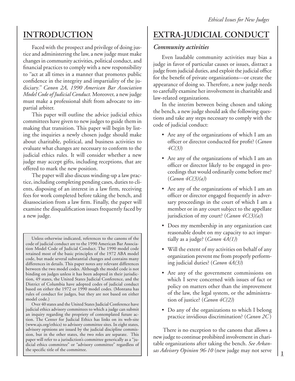## **INTRODUCTION**

Faced with the prospect and privilege of doing justice and administering the law, a new judge must make changes in community activities, political conduct, and financial practices to comply with a new responsibility to ''act at all times in a manner that promotes public confidence in the integrity and impartiality of the judiciary.'' *Canon 2A, 1990 American Bar Association Model Code of Judicial Conduct.* Moreover, a new judge must make a professional shift from advocate to impartial arbiter.

This paper will outline the advice judicial ethics committees have given to new judges to guide them in making that transition. This paper will begin by listing the inquiries a newly chosen judge should make about charitable, political, and business activities to evaluate what changes are necessary to conform to the judicial ethics rules. It will consider whether a new judge may accept gifts, including receptions, that are offered to mark the new position.

The paper will also discuss winding-up a law practice, including completing pending cases, duties to clients, disposing of an interest in a law firm, receiving fees for work completed before taking the bench, and disassociation from a law firm. Finally, the paper will examine the disqualification issues frequently faced by a new judge.

Unless otherwise indicated, references to the canons of the code of judicial conduct are to the 1990 American Bar Association Model Code of Judicial Conduct. The 1990 model code retained most of the basic principles of the 1972 ABA model code, but made several substantial changes and contains many differences in details. This paper notes any relevant differences between the two model codes. Although the model code is not binding on judges unless it has been adopted in their jurisdiction, 49 states, the United States Judicial Conference, and the District of Columbia have adopted codes of judicial conduct based on either the 1972 or 1990 model codes. (Montana has rules of conduct for judges, but they are not based on either model code.)

Over 40 states and the United States Judicial Conference have judicial ethics advisory committees to which a judge can submit an inquiry regarding the propriety of contemplated future action. The Center for Judicial Ethics has links on its web-site (www.ajs.org/ethics) to advisory committee sites. In eight states, advisory opinions are issued by the judicial discipline commission, but in the other states, the two roles are separate. This paper will refer to a jurisdiction's committee generically as a "judicial ethics committee" or "advisory committee" regardless of the specific title of the committee.

## **EXTRA-JUDICIAL CONDUCT**

## *Community activities*

Even laudable community activities may bias a judge in favor of particular causes or issues, distract a judge from judicial duties, and exploit the judicial office for the benefit of private organizations—or create the appearance of doing so. Therefore, a new judge needs to carefully examine her involvement in charitable and law-related organizations.

In the interim between being chosen and taking the bench, a new judge should ask the following questions and take any steps necessary to comply with the code of judicial conduct:

- Are any of the organizations of which I am an officer or director conducted for profit? (*Canon 4C(3)*)
- Are any of the organizations of which I am an officer or director likely to be engaged in proceedings that would ordinarily come before me? (*Canon 4C(3)(a)*)
- Are any of the organizations of which I am an officer or director engaged frequently in adversary proceedings in the court of which I am a member or in any court subject to the appellate jurisdiction of my court? (*Canon 4C(3)(a)*)
- Does my membership in any organization cast reasonable doubt on my capacity to act impartially as a judge? (*Canon 4A(1)*)
- Will the extent of my activities on behalf of any organization prevent me from properly performing judicial duties? (*Canon 4A(3)*)
- Are any of the government commissions on which I serve concerned with issues of fact or policy on matters other than the improvement of the law, the legal system, or the administration of justice? (*Canon 4C(2)*)
- Do any of the organizations to which I belong practice invidious discrimination? (*Canon 2C* )

 There is no exception to the canons that allows a new judge to continue prohibited involvement in charitable organizations after taking the bench. *See Arkansas Advisory Opinion 96-10* (new judge may not serve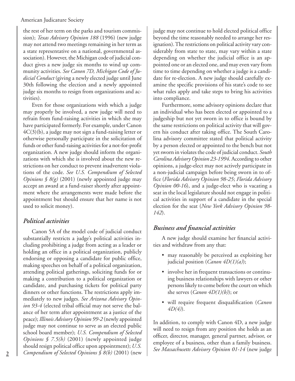the rest of her term on the parks and tourism commission); *Texas Advisory Opinion 188* (1996) (new judge may not attend two meetings remaining in her term as a state representative on a national, governmental association). However, the Michigan code of judicial conduct gives a new judge six months to wind up community activities. *See Canon 7D, Michigan Code of Judicial Conduct* (giving a newly elected judge until June 30th following the election and a newly appointed judge six months to resign from organizations and activities).

Even for those organizations with which a judge may properly be involved, a new judge will need to refrain from fund-raising activities in which she may have participated formerly. For example, under Canon 4C(3)(b), a judge may not sign a fund-raising letter or otherwise personally participate in the solicitation of funds or other fund-raising activities for a not-for-profit organization. A new judge should inform the organizations with which she is involved about the new restrictions on her conduct to prevent inadvertent violations of the code. *See U.S. Compendium of Selected Opinions*  $\int \mathcal{B}(g)$  (2001) (newly appointed judge may accept an award at a fund-raiser shortly after appointment where the arrangements were made before the appointment but should ensure that her name is not used to solicit money).

## *Political activities*

Canon 5A of the model code of judicial conduct substantially restricts a judge's political activities including prohibiting a judge from acting as a leader or holding an office in a political organization, publicly endorsing or opposing a candidate for public office, making speeches on behalf of a political organization, attending political gatherings, soliciting funds for or making a contribution to a political organization or candidate, and purchasing tickets for political party dinners or other functions. The restrictions apply immediately to new judges. *See Arizona Advisory Opinion 93-4* (elected tribal official may not serve the balance of her term after appointment as a justice of the peace); *Illinois Advisory Opinion 99-2* (newly appointed judge may not continue to serve as an elected public school board member); *U.S. Compendium of Selected Opinions § 7.5(h)* (2001) (newly appointed judge should resign political office upon appointment); *U.S. Compendium of Selected Opinions § 8(b)* (2001) (new

judge may not continue to hold elected political office beyond the time reasonably needed to arrange her resignation). The restrictions on political activity vary considerably from state to state, may vary within a state depending on whether the judicial office is an appointed one or an elected one, and may even vary from time to time depending on whether a judge is a candidate for re-election. A new judge should carefully examine the specific provisions of his state's code to see what rules apply and take steps to bring his activities into compliance.

Furthermore, some advisory opinions declare that an individual who has been elected or appointed to a judgeship but not yet sworn in to office is bound by the same restrictions on political activity that will govern his conduct after taking office. The South Carolina advisory committee stated that political activity by a person elected or appointed to the bench but not yet sworn in violates the code of judicial conduct. *South Carolina Advisory Opinion 23-1994*. According to other opinions, a judge-elect may not actively participate in a non-judicial campaign before being sworn in to office (*Florida Advisory Opinion 98-25*; *Florida Advisory Opinion 00-16*), and a judge-elect who is vacating a seat in the local legislature should not engage in political activities in support of a candidate in the special election for the seat (*New York Advisory Opinion 98- 142*).

## *Business and financial activities*

A new judge should examine her financial activities and withdraw from any that:

- may reasonably be perceived as exploiting her judicial position (*Canon 4D(1)(a)*);
- involve her in frequent transactions or continuing business relationships with lawyers or other persons likely to come before the court on which she serves (*Canon 4D(1)(b)*); or
- will require frequent disqualification (*Canon 4D(4)*).

In addition, to comply with Canon 4D, a new judge will need to resign from any position she holds as an officer, director, manager, general partner, advisor, or employee of a business, other than a family business. *See Massachusetts Advisory Opinion 01-14* (new judge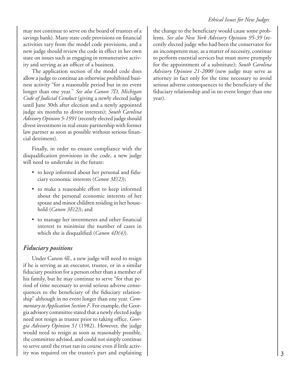may not continue to serve on the board of trustees of a savings bank). Many state code provisions on financial activities vary from the model code provisions, and a new judge should review the code in effect in her own state on issues such as engaging in remunerative activity and serving as an officer of a business.

The application section of the model code does allow a judge to continue an otherwise prohibited business activity "for a reasonable period but in no event longer than one year.'' *See also Canon 7D, Michigan Code of Judicial Conduct* (giving a newly elected judge until June 30th after election and a newly appointed judge six months to divest interests); *South Carolina Advisory Opinion 5-1991* (recently elected judge should divest investment in real estate partnership with former law partner as soon as possible without serious financial detriment).

Finally, in order to ensure compliance with the disqualification provisions in the code, a new judge will need to undertake in the future:

- to keep informed about her personal and fiduciary economic interests (*Canon 3E(2)*);
- to make a reasonable effort to keep informed about the personal economic interests of her spouse and minor children residing in her household (*Canon 3E(2)*); and
- to manage her investments and other financial interest to minimize the number of cases in which she is disqualified (*Canon 4D(4)*).

## *Fiduciary positions*

Under Canon 4E, a new judge will need to resign if he is serving as an executor, trustee, or in a similar fiduciary position for a person other than a member of his family, but he may continue to serve "for that period of time necessary to avoid serious adverse consequences to the beneficiary of the fiduciary relationship" although in no event longer than one year. *Commentary to Application Section F*. For example, the Georgia advisory committee stated that a newly elected judge need not resign as trustee prior to taking office. *Georgia Advisory Opinion 51* (1982). However, the judge would need to resign as soon as reasonably possible, the committee advised, and could not simply continue to serve until the trust ran its course even if little activity was required on the trustee's part and explaining

the change to the beneficiary would cause some problems. *See also New York Advisory Opinion 95-39* (recently elected judge who had been the conservator for an incompetent may, as a matter of necessity, continue to perform essential services but must move promptly for the appointment of a substitute); *South Carolina Advisory Opinion 21-2000* (new judge may serve as attorney in fact only for the time necessary to avoid serious adverse consequences to the beneficiary of the fiduciary relationship and in no event longer than one year).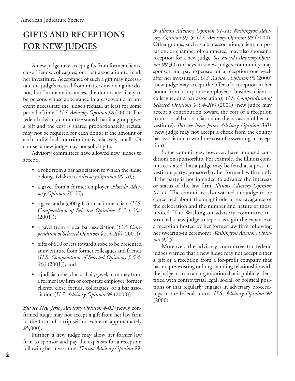## **GIFTS AND RECEPTIONS FOR NEW JUDGES**

A new judge may accept gifts from former clients, close friends, colleagues, or a bar association to mark her investiture. Acceptance of such a gift may necessitate the judge's recusal from matters involving the donor, but "in many instances, the donors are likely to be persons whose appearance in a case would in any event necessitate the judge's recusal, at least for some period of time." *U.S. Advisory Opinion 98* (2000). The federal advisory committee stated that if a group gives a gift and the cost is shared proportionately, recusal may not be required for each donor if the amount of each individual contribution is relatively small. Of course, a new judge may not solicit gifts.

Advisory committees have allowed new judges to accept:

- a robe from a bar association to which the judge belongs (*Arkansas Advisory Opinion 00-10*);
- a gavel from a former employer (*Florida Advisory Opinion 76-22*);
- a gavel and a \$500 gift from a former client (*U.S. Compendium of Selected Opinions § 5.4-2(a)*  $(2001))$ ;
- a gavel from a local bar association (*U.S. Compendium of Selected Opinions § 5.4-2(b)* (2001));
- gifts of \$10 or less toward a robe to be presented at investiture from former colleagues and friends (*U.S. Compendium of Selected Opinions § 5.4- 2(e)* (2001)); and
- a judicial robe, clock, chair, gavel, or money from a former law firm or corporate employer, former clients, close friends, colleagues, or a bar association (*U.S. Advisory Opinion 98* (2000)).

*But see New Jersey Advisory Opinion 4-02* (newly confirmed judge may not accept a gift from her law firm in the form of a trip with a value of approximately \$5,000).

Further, a new judge may allow her former law firm to sponsor and pay the expenses for a reception following her investiture. *Florida Advisory Opinion 99-* *3*; *Illinois Advisory Opinion 01-11; Washington Advisory Opinion 95-5*; *U.S. Advisory Opinion 98* (2000). Other groups, such as a bar association, client, corporation, or chamber of commerce, may also sponsor a reception for a new judge. *See Florida Advisory Opinion 99-3* (attorneys in a new judge's community may sponsor and pay expenses for a reception one week after her investiture); *U.S. Advisory Opinion 98* (2000) (new judge may accept the offer of a reception in her honor from a corporate employer, a business client, a colleague, or a bar association); *U.S. Compendium of Selected Opinions § 5.4-2(b)* (2001) (new judge may accept a contribution toward the cost of a reception from a local bar association on the occasion of her investiture). *But see New Jersey Advisory Opinion 3-01* (new judge may not accept a check from the county bar association toward the cost of a swearing-in reception).

Some committees, however, have imposed conditions on sponsorship. For example, the Illinois committee stated that a judge may be feted at a post-investiture party sponsored by her former law firm only if the party is not intended to advance the interests or status of the law firm. *Illinois Advisory Opinion 01-11.* The committee also warned the judge to be concerned about the magnitude or extravagance of the celebration and the number and nature of those invited. The Washington advisory committee instructed a new judge to report as a gift the expense of a reception hosted by her former law firm following her swearing-in ceremony. *Washington Advisory Opinion 95-5*.

Moreover, the advisory committee for federal judges warned that a new judge may not accept either a gift or a reception from a for-profit company that has no pre-existing or long-standing relationship with the judge or from an organization that is publicly identified with controversial legal, social, or political positions or that regularly engages in adversary proceedings in the federal courts. *U.S. Advisory Opinion 98* (2000).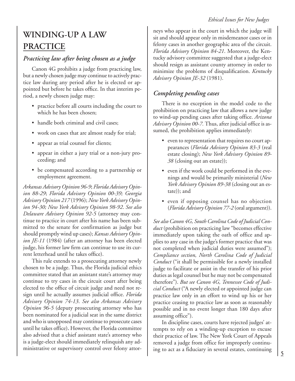#### *Ethical Issues for New Judges*

## **WINDING-UP A LAW PRACTICE**

## *Practicing law after being chosen as a judge*

Canon 4G prohibits a judge from practicing law, but a newly chosen judge may continue to actively practice law during any period after he is elected or appointed but before he takes office. In that interim period, a newly chosen judge may:

- practice before all courts including the court to which he has been chosen;
- handle both criminal and civil cases:
- work on cases that are almost ready for trial;
- appear as trial counsel for clients;
- appear in either a jury trial or a non-jury proceeding; and
- be compensated according to a partnership or employment agreement.

*Arkansas Advisory Opinion 96-9*; *Florida Advisory Opinion 88-29*; *Florida Advisory Opinion 00-39; Georgia Advisory Opinion 217* (1996); *New York Advisory Opinion 94-30; New York Advisory Opinion 98-92*. *See also Delaware Advisory Opinion 92-5* (attorney may continue to practice in court after his name has been submitted to the senate for confirmation as judge but should promptly wind up cases); *Kansas Advisory Opinion JE-11* (1984) (after an attorney has been elected judge, his former law firm can continue to use its current letterhead until he takes office).

This rule extends to a prosecuting attorney newly chosen to be a judge. Thus, the Florida judicial ethics committee stated that an assistant state's attorney may continue to try cases in the circuit court after being elected to the office of circuit judge and need not resign until he actually assumes judicial office. *Florida Advisory Opinion 74-13*. *See also Arkansas Advisory Opinion 96-5* (deputy prosecuting attorney who has been nominated for a judicial seat in the same district and who is unopposed may continue to prosecute cases until he takes office)**.** However, the Florida committee also advised that a chief assistant state's attorney who is a judge-elect should immediately relinquish any administrative or supervisory control over felony attor-

neys who appear in the court in which the judge will sit and should appear only in misdemeanor cases or in felony cases in another geographic area of the circuit. *Florida Advisory Opinion 84-21*. Moreover, the Kentucky advisory committee suggested that a judge-elect should resign as assistant county attorney in order to minimize the problems of disqualification. *Kentucky Advisory Opinion JE-32* (1981).

## *Completing pending cases*

There is no exception in the model code to the prohibition on practicing law that allows a new judge to wind-up pending cases after taking office. *Arizona Advisory Opinion 00-7.* Thus, after judicial office is assumed, the prohibition applies immediately:

- even to representation that requires no court appearances (*Florida Advisory Opinion 83-3* (real estate closing); *New York Advisory Opinion 89- 38* (closing out an estate));
- even if the work could be performed in the evenings and would be primarily ministerial (*New York Advisory Opinion 89-38* (closing out an estate)); and
- even if opposing counsel has no objection (*Florida Advisory Opinion 77-2* (oral argument)).

*See also Canon 4G, South Carolina Code of Judicial Conduct* (prohibition on practicing law "becomes effective immediately upon taking the oath of office and applies to any case in the judge's former practice that was not completed when judicial duties were assumed"); *Compliance section, North Carolina Code of Judicial Conduct* ("it shall be permissible for a newly installed judge to facilitate or assist in the transfer of his prior duties as legal counsel but he may not be compensated therefore"). *But see Canon 4G, Tennessee Code of Judicial Conduct* ("A newly elected or appointed judge can practice law only in an effort to wind up his or her practice ceasing to practice law as soon as reasonably possible and in no event longer than 180 days after assuming office").

In discipline cases, courts have rejected judges' attempts to rely on a winding-up exception to excuse their practice of law. The New York Court of Appeals removed a judge from office for improperly continuing to act as a fiduciary in several estates, continuing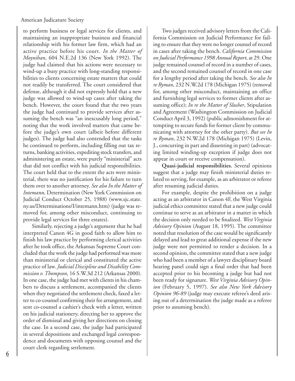to perform business or legal services for clients, and maintaining an inappropriate business and financial relationship with his former law firm, which had an active practice before his court. *In the Matter of Moynihan*, 604 N.E.2d 136 (New York 1992). The judge had claimed that his actions were necessary to wind-up a busy practice with long-standing responsibilities to clients concerning estate matters that could not readily be transferred. The court considered that defense, although it did not expressly hold that a new judge was allowed to wind-up cases after taking the bench. However, the court found that the two years the judge had continued to provide services after assuming the bench was "an inexcusably long period," noting that the work involved matters that came before the judge's own court (albeit before different judges). The judge had also contended that the tasks he continued to perform, including filling out tax returns, banking activities, expediting stock transfers, and administering an estate, were purely "ministerial" acts that did not conflict with his judicial responsibilities. The court held that to the extent the acts were ministerial, there was no justification for his failure to turn them over to another attorney. *See also In the Matter of Intemann*, Determination (New York Commission on Judicial Conduct October 25, 1988) (www.sjc.state. ny.us/Determinations/I/intemann.htm) (judge was removed for, among other misconduct, continuing to provide legal services for three estates).

Similarly, rejecting a judge's argument that he had interpreted Canon 4G in good faith to allow him to finish his law practice by performing clerical activities after he took office, the Arkansas Supreme Court concluded that the work the judge had performed was more than ministerial or clerical and constituted the active practice of law. *Judicial Discipline and Disability Commission v. Thompson*, 16 S.W.3d 212 (Arkansas 2000). In one case, the judge had met with clients in his chambers to discuss a settlement, accompanied the clients when they negotiated the settlement check, faxed a letter to co-counsel confirming their fee arrangement, and sent co-counsel a cashier's check with a letter, written on his judicial stationery, directing her to approve the order of dismissal and giving her directions on closing the case. In a second case, the judge had participated in several depositions and exchanged legal correspondence and documents with opposing counsel and the court clerk regarding settlement.

Two judges received advisory letters from the California Commission on Judicial Performance for failing to ensure that they were no longer counsel of record in cases after taking the bench. *California Commission on Judicial Performance 1998 Annual Report*, at 29. One judge remained counsel of record in a number of cases, and the second remained counsel of record in one case for a lengthy period after taking the bench. *See also In re Ryman*, 232 N.W.2d 178 (Michigan 1975) (removal for, among other misconduct, maintaining an office and furnishing legal services to former clients after assuming office); *In re the Matter of Slusher*, Stipulation and Agreement (Washington Commission on Judicial Conduct April 3, 1992) (public admonishment for attempting to secure funds for former client by communicating with attorney for the other party). *But see In re Ryman*, 232 N.W.2d 178 (Michigan 1975) (Levin, J., concurring in part and dissenting in part) (advocating limited winding-up exception if judge does not appear in court or receive compensation).

**Quasi-judicial responsibilities.** Several opinions suggest that a judge may finish ministerial duties related to serving, for example, as an arbitrator or referee after resuming judicial duties.

For example, despite the prohibition on a judge acting as an arbitrator in Canon 4F, the West Virginia judicial ethics committee stated that a new judge could continue to serve as an arbitrator in a matter in which the decision only needed to be finalized. *West Virginia Advisory Opinion* (August 18, 1995). The committee noted that resolution of the case would be significantly delayed and lead to great additional expense if the new judge were not permitted to render a decision. In a second opinion, the committee stated that a new judge who had been a member of a lawyer disciplinary board hearing panel could sign a final order that had been accepted prior to his becoming a judge but had not been ready for signature. *West Virginia Advisory Opinion* (February 5, 1997). *See also New York Advisory Opinion 96-89* (judge may execute referee's deed arising out of a determination the judge made as a referee prior to assuming bench).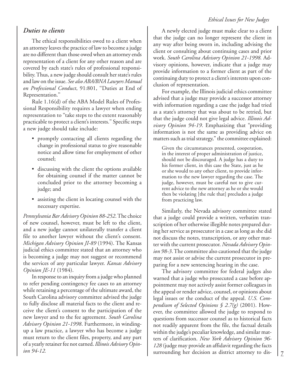#### *Ethical Issues for New Judges*

#### *Duties to clients*

The ethical responsibilities owed to a client when an attorney leaves the practice of law to become a judge are no different than those owed when an attorney ends representation of a client for any other reason and are covered by each state's rules of professional responsibility. Thus, a new judge should consult her state's rules and law on the issue. *See also ABA/BNA Lawyers Manual on Professional Conduct*, 91:801, ''Duties at End of Representation.''

Rule 1.16(d) of the ABA Model Rules of Professional Responsibility requires a lawyer when ending representation to ''take steps to the extent reasonably practicable to protect a client's interests.'' Specific steps a new judge should take include:

- promptly contacting all clients regarding the change in professional status to give reasonable notice and allow time for employment of other counsel;
- discussing with the client the options available for obtaining counsel if the matter cannot be concluded prior to the attorney becoming a judge; and
- assisting the client in locating counsel with the necessary expertise.

*Pennsylvania Bar Advisory Opinion 88-252*. The choice of new counsel, however, must be left to the client, and a new judge cannot unilaterally transfer a client file to another lawyer without the client's consent. *Michigan Advisory Opinion JI-89* (1994). The Kansas judicial ethics committee stated that an attorney who is becoming a judge may not suggest or recommend the services of any particular lawyer. *Kansas Advisory Opinion JE-11* (1984).

In response to an inquiry from a judge who planned to refer pending contingency fee cases to an attorney while retaining a percentage of the ultimate award, the South Carolina advisory committee advised the judge to fully disclose all material facts to the client and receive the client's consent to the participation of the new lawyer and to the fee agreement. *South Carolina Advisory Opinion 21-1998*. Furthermore, in windingup a law practice, a lawyer who has become a judge must return to the client files, property, and any part of a yearly retainer fee not earned. *Illinois Advisory Opinion 94-12.*

A newly elected judge must make clear to a client that the judge can no longer represent the client in any way after being sworn in, including advising the client or consulting about continuing cases and prior work. *South Carolina Advisory Opinion 21-1998.* Advisory opinions, however, indicate that a judge may provide information to a former client as part of the continuing duty to protect a client's interests upon conclusion of representation.

For example, the Illinois judicial ethics committee advised that a judge may provide a successor attorney with information regarding a case the judge had tried as a state's attorney that was about to be retried, but that the judge could not give legal advice. *Illinois Advisory Opinion 94-19*. Emphasizing that "providing information is not the same as providing advice on matters such as trial strategy," the committee explained:

Given the circumstances presented, cooperation, in the interest of proper administration of justice, should not be discouraged. A judge has a duty to his former client, in this case the State, just as he or she would to any other client, to provide information to the new lawyer regarding the case. The judge, however, must be careful not to give current advice to the new attorney as he or she would then be violating [the rule that] precludes a judge from practicing law.

Similarly, the Nevada advisory committee stated that a judge could provide a written, verbatim transcription of her otherwise illegible notes prepared during her service as prosecutor in a case as long as she did not discuss the notes, transcription, or any other matter with the current prosecutor. *Nevada Advisory Opinion 98-3*. The committee also cautioned that the judge may not assist or advise the current prosecutor in preparing for a new sentencing hearing in the case.

The advisory committee for federal judges also warned that a judge who prosecuted a case before appointment may not actively assist former colleagues in the appeal or render advice, counsel, or opinions about legal issues or the conduct of the appeal. *U.S. Compendium of Selected Opinions § 2.7(g)* (2001). However, the committee allowed the judge to respond to questions from successor counsel as to historical facts not readily apparent from the file, the factual details within the judge's peculiar knowledge, and similar matters of clarification. *New York Advisory Opinion 96- 128* (judge may provide an affidavit regarding the facts surrounding her decision as district attorney to dis-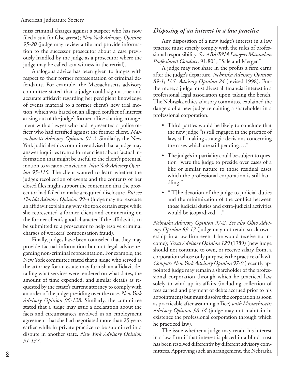miss criminal charges against a suspect who has now filed a suit for false arrest); *New York Advisory Opinion 95-20* (judge may review a file and provide information to the successor prosecutor about a case previously handled by the judge as a prosecutor where the judge may be called as a witness in the retrial).

Analogous advice has been given to judges with respect to their former representation of criminal defendants. For example, the Massachusetts advisory committee stated that a judge could sign a true and accurate affidavit regarding her percipient knowledge of events material to a former client's new trial motion, which was based on an alleged conflict of interest arising out of the judge's former office-sharing arrangement with a lawyer who had represented a police officer who had testified against the former client. *Massachusetts Advisory Opinion 01-2.* Similarly, the New York judicial ethics committee advised that a judge may answer inquiries from a former client about factual information that might be useful to the client's potential motion to vacate a conviction. *New York Advisory Opinion 95-116.* The client wanted to learn whether the judge's recollection of events and the contents of her closed files might support the contention that the prosecutor had failed to make a required disclosure. *But see Florida Advisory Opinion 99-4* (judge may not execute an affidavit explaining why she took certain steps while she represented a former client and commenting on the former client's good character if the affidavit is to be submitted to a prosecutor to help resolve criminal charges of workers' compensation fraud).

Finally, judges have been counseled that they may provide factual information but not legal advice regarding non-criminal representation. For example, the New York committee stated that a judge who served as the attorney for an estate may furnish an affidavit detailing what services were rendered on what dates, the amount of time expended, and similar details as requested by the estate's current attorney to comply with an order of the judge presiding over the case. *New York Advisory Opinion 96-128.* Similarly, the committee stated that a judge may issue a declaration about the facts and circumstances involved in an employment agreement that she had negotiated more than 25 years earlier while in private practice to be submitted in a dispute in another state. *New York Advisory Opinion 91-137*.

### *Disposing of an interest in a law practice*

Any disposition of a new judge's interest in a law practice must strictly comply with the rules of professional responsibility. *See ABA/BNA Lawyers Manual on Professional Conduct*, 91:801, ''Sale and Merger.''

A judge may not share in the profits a firm earns after the judge's departure. *Nebraska Advisory Opinion 89-1*; *U.S. Advisory Opinion 24* (revised 1998). Furthermore, a judge must divest all financial interest in a professional legal association upon taking the bench. The Nebraska ethics advisory committee explained the dangers of a new judge remaining a shareholder in a professional corporation.

- Third parties would be likely to conclude that the new judge ''is still engaged in the practice of law, still making strategic decisions concerning the cases which are still pending….''
- The judge's impartiality could be subject to question ''were the judge to preside over cases of a like or similar nature to those residual cases which the professional corporation is still handling.''
- "[T]he devotion of the judge to judicial duties and the minimization of the conflict between those judicial duties and extra-judicial activities would be jeopardized….''

*Nebraska Advisory Opinion 97-2*. *See also Ohio Advisory Opinion 89-17* (judge may not retain stock ownership in a law firm even if he would receive no income); *Texas Advisory Opinion 129* (1989) (new judge should not continue to own, or receive salary from, a corporation whose only purpose is the practice of law). *Compare New York Advisory Opinion 97-9* (recently appointed judge may remain a shareholder of the professional corporation through which he practiced law solely to wind-up its affairs (including collection of fees earned and payment of debts accrued prior to his appointment) but must dissolve the corporation as soon as practicable after assuming office) *with Massachusetts Advisory Opinion 98-14* (judge may not maintain in existence the professional corporation through which he practiced law).

The issue whether a judge may retain his interest in a law firm if that interest is placed in a blind trust has been resolved differently by different advisory committees. Approving such an arrangement, the Nebraska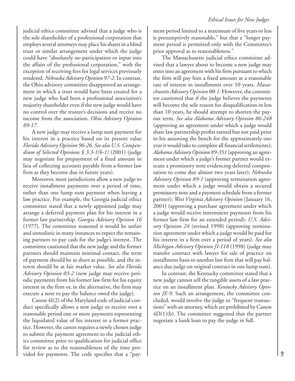judicial ethics committee advised that a judge who is the sole shareholder of a professional corporation that employs several attorneys may place his shares in a blind trust or similar arrangement under which the judge could have "absolutely no participation or input into the affairs of the professional corporation," with the exception of receiving fees for legal services previously rendered. *Nebraska Advisory Opinion 97-2*. In contrast, the Ohio advisory committee disapproved an arrangement in which a trust would have been created for a new judge who had been a professional association's majority shareholder even if the new judge would have no control over the trustee's decisions and receive no income from the association. *Ohio Advisory Opinion 89-17*.

A new judge may receive a lump sum payment for his interest in a practice based on its present value *Florida Advisory Opinion 96-26*. *See also U.S. Compendium of Selected Opinions § 3.3-1(b-1)* (2001) (judge may negotiate for prepayment of a fixed amount in lieu of collecting accounts payable from a former law firm as they become due in future years).

Moreover, most jurisdictions allow a new judge to receive installment payments over a period of time, rather than one lump sum payment when leaving a law practice. For example, the Georgia judicial ethics committee stated that a newly appointed judge may arrange a deferred payment plan for his interest in a former law partnership. *Georgia Advisory Opinion 16* (1977). The committee reasoned it would be unfair and unrealistic in many instances to expect the remaining partners to pay cash for the judge's interest. The committee cautioned that the new judge and the former partners should maintain minimal contact, the term of payment should be as short as possible, and the interest should be at fair market value. *See also Florida Advisory Opinion 03-2* (new judge may receive periodic payments from his former law firm for his equity interest in the firm or, in the alternative, the firm may execute a note to pay the balance owed the judge).

Canon 4I(2) of the Maryland code of judicial conduct specifically allows a new judge to receive over a reasonable period one or more payments representing the liquidated value of his interest in a former practice. However, the canon requires a newly chosen judge to submit the payment agreement to the judicial ethics committee prior to qualification for judicial office for review as to the reasonableness of the time provided for payments. The code specifies that a ''payment period limited to a maximum of five years or less is presumptively reasonable,'' but that a ''longer payment period is permitted only with the Committee's prior approval as to reasonableness.''

The Massachusetts judicial ethics committee advised that a lawyer about to become a new judge may enter into an agreement with his firm pursuant to which the firm will pay him a fixed amount at a reasonable rate of interest in installments over 10 years. *Massachusetts Advisory Opinion 00-1*. However, the committee cautioned that if the judge believes the payments will become the sole reason for disqualification in less than 10 years, he should attempt to shorten the payout term. *See also Alabama Advisory Opinion 86-248* (approving an agreement under which a judge would share law partnership profits earned but not paid prior to his assuming the bench for the approximately one year it would take to complete all financial settlements); *Alabama Advisory Opinion 89-351* (approving an agreement under which a judge's former partner would execute a promissory note evidencing deferred compensation to come due almost two years later); *Nebraska Advisory Opinion 89-1* (approving termination agreement under which a judge would obtain a secured promissory note and a payment schedule from a former partner); *West Virginia Advisory Opinion* (January 16, 2001) (approving a purchase agreement under which a judge would receive intermitent payments from his former law firm for an extended period); *U.S. Advisory Opinion 24* (revised 1998) (approving termination agreement under which a judge would be paid for his interest in a firm over a period of years). *See also Michigan Advisory Opinion JI-118* (1998) (judge may transfer contract with lawyer for sale of practice on installment basis to another law firm that will pay balance due judge on original contract in one lump sum).

In contrast, the Kentucky committee stated that a new judge cannot sell the tangible assets of a law practice on an installment plan. *Kentucky Advisory Opin*ion *JE-9*. Such an arrangement, the committee concluded, would involve the judge in ''frequent transactions'' with an attorney, which are prohibited by Canon  $4D(1)(b)$ . The committee suggested that the partner negotiate a bank loan to pay the judge in full.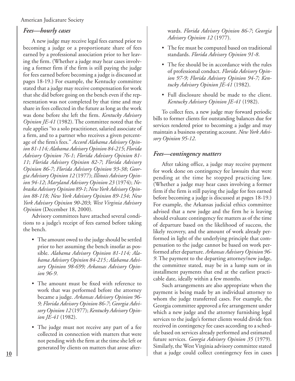#### *Fees—hourly cases*

A new judge may receive legal fees earned prior to becoming a judge or a proportionate share of fees earned by a professional association prior to her leaving the firm. (Whether a judge may hear cases involving a former firm if the firm is still paying the judge for fees earned before becoming a judge is discussed at pages 18-19.) For example, the Kentucky committee stated that a judge may receive compensation for work that she did before going on the bench even if the representation was not completed by that time and may share in fees collected in the future as long as the work was done before she left the firm. *Kentucky Advisory Opinion JE-41* (1982). The committee noted that the rule applies ''to a solo practitioner, salaried associate of a firm, and to a partner who receives a given percentage of the firm's fees.'' *Accord Alabama Advisory Opinion 81-114; Alabama Advisory Opinion 84-215*; *Florida Advisory Opinion 76-1*; *Florida Advisory Opinion 81- 11*; *Florida Advisory Opinion 82-7*; *Florida Advisory Opinion 86-7*; *Florida Advisory Opinion 93-38*; *Georgia Advisory Opinion 12* (1977); *Illinois Advisory Opinion 94-12*; *Maryland Advisory Opinion 23* (1974); *Nebraska Advisory Opinion 89-1*; *New York Advisory Opinion 88-118; New York Advisory Opinion 89-134*; *New York Advisory Opinion 90-203*; *West Virginia Advisory Opinion* (December 18, 2000).

Advisory committees have attached several conditions to a judge's receipt of fees earned before taking the bench.

- The amount owed to the judge should be settled prior to her assuming the bench insofar as possible. *Alabama Advisory Opinion 81-114; Alabama Advisory Opinion 84-215; Alabama Advisory Opinion 98-699; Arkansas Advisory Opinion 96-9*.
- The amount must be fixed with reference to work that was performed before the attorney became a judge. *Arkansas Advisory Opinion 96- 9; Florida Advisory Opinion 86-7*; *Georgia Advisory Opinion 12* (1977); *Kentucky Advisory Opinion JE-41* (1982).
- The judge must not receive any part of a fee collected in connection with matters that were not pending with the firm at the time she left or generated by clients on matters that arose after-

wards. *Florida Advisory Opinion 86-7*; *Georgia Advisory Opinion 12* (1977).

- The fee must be computed based on traditional standards. *Florida Advisory Opinion 91-8*.
- The fee should be in accordance with the rules of professional conduct. *Florida Advisory Opinion 97-9; Florida Advisory Opinion 94-7; Kentucky Advisory Opinion JE-41* (1982).
- Full disclosure should be made to the client. *Kentucky Advisory Opinion JE-41* (1982).

To collect fees, a new judge may forward periodic bills to former clients for outstanding balances due for services rendered prior to becoming a judge and may maintain a business operating account. *New York Advisory Opinion 95-12*.

#### *Fees—contingency matters*

After taking office, a judge may receive payment for work done on contingency fee lawsuits that were pending at the time he stopped practicing law. (Whether a judge may hear cases involving a former firm if the firm is still paying the judge for fees earned before becoming a judge is discussed at pages 18-19.) For example, the Arkansas judicial ethics committee advised that a new judge and the firm he is leaving should evaluate contingency fee matters as of the time of departure based on the likelihood of success, the likely recovery, and the amount of work already performed in light of the underlying principle that compensation to the judge cannot be based on work performed after departure. *Arkansas Advisory Opinion 96- 9*. The payment to the departing attorney/new judge, the committee stated, may be in a lump sum or in installment payments that end at the earliest practicable date, ideally within a few months.

Such arrangements are also appropriate when the payment is being made by an individual attorney to whom the judge transferred cases. For example, the Georgia committee approved a fee arrangement under which a new judge and the attorney furnishing legal services to the judge's former clients would divide fees received in contingency fee cases according to a schedule based on services already performed and estimated future services. *Georgia Advisory Opinion 35* (1979). Similarly, the West Virginia advisory committee stated that a judge could collect contingency fees in cases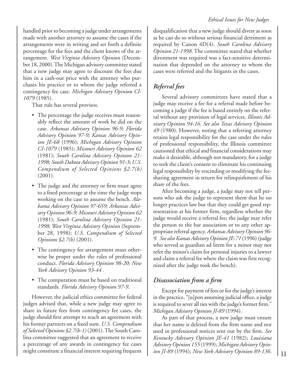handled prior to becoming a judge under arrangements made with another attorney to assume the cases if the arrangements were in writing and set forth a definite percentage for the fees and the client knows of the arrangement. *West Virginia Advisory Opinion* (December 18, 2000). The Michigan advisory committee stated that a new judge may agree to discount the fees due him in a cash-out price with the attorney who purchases his practice or to whom the judge referred a contingency fee case. *Michigan Advisory Opinion CI-1079* (1985).

That rule has several provisos.

- The percentage the judge receives must reasonably reflect the amount of work he did on the case. *Arkansas Advisory Opinion 96-9; Florida Advisory Opinion 97-9; Kansas Advisory Opinion JE-68* (1996); *Michigan Advisory Opinion CI-1079* (1985); *Missouri Advisory Opinion 62* (1981); *South Carolina Advisory Opinion 21- 1998; South Dakota Advisory Opinion 91-3*; *U.S. Compendium of Selected Opinions §2.7(b)* (2001).
- The judge and the attorney or firm must agree to a fixed percentage at the time the judge stops working on the case to assume the bench. *Alabama Advisory Opinion 97-659; Arkansas Advisory Opinion 96-9; Missouri Advisory Opinion 62* (1981); *South Carolina Advisory Opinion 21- 1998; West Virginia Advisory Opinion* (September 28, 1998); *U.S. Compendium of Selected Opinions §2.7(b)* (2001).
- The contingency fee arrangement must otherwise be proper under the rules of professional conduct. *Florida Advisory Opinion 98-20; New York Advisory Opinion 93-44* .
- The computation must be based on traditional standards. *Florida Advisory Opinion 97-9*.

However, the judicial ethics committee for federal judges advised that, while a new judge may agree to share in future fees from contingency fee cases, the judge should first attempt to reach an agreement with his former partners on a fixed sum. *U.S. Compendium of Selected Opinions §2.7(b-1)* (2001). The South Carolina committee suggested that an agreement to receive a percentage of any awards in contingency fee cases might constitute a financial interest requiring frequent

disqualification that a new judge should divest as soon as he can do so without serious financial detriment as required by Canon 4D(4). *South Carolina Advisory Opinion 21-1998*. The committee stated that whether divestment was required was a fact-sensitive determination that depended on the attorney to whom the cases were referred and the litigants in the cases.

## *Referral fees*

Several advisory committees have stated that a judge may receive a fee for a referral made before becoming a judge if the fee is based entirely on the referral without any provision of legal services. *Illinois Advisory Opinion 94-16. See also Texas Advisory Opinion 49* (1980). However, noting that a referring attorney retains legal responsibility for the case under the rules of professional responsibility, the Illinois committee cautioned that ethical and financial considerations may make it desirable, although not mandatory, for a judge to seek the client's consent to eliminate his continuing legal responsibility by rescinding or modifying the feesharing agreement in return for relinquishment of his share of the fees.

After becoming a judge, a judge may not tell persons who ask the judge to represent them that he no longer practices law but that they could get good representation at his former firm, regardless whether the judge would receive a referral fee; the judge may refer the person to the bar association or to any other appropriate referral agency. *Arkansas Advisory Opinion 96- 9*. *See also Kansas Advisory Opinion JE-71* (1996) (judge who served as guardian ad litem for a minor may not refer the minor's claim for personal injuries to a lawyer and claim a referral fee where the claim was first recognized after the judge took the bench).

## *Disassociation from a firm*

Except for payment of fees or for the judge's interest in the practice, ''[u]pon assuming judicial office, a judge is required to sever all ties with the judge's former firm.'' *Michigan Advisory Opinion JI-89* (1994).

As part of that process, a new judge must ensure that her name is deleted from the firm name and not used in professional notices sent out by the firm. *See Kentucky Advisory Opinion JE-41* (1982); *Louisiana Advisory Opinion 155* (1999); *Michigan Advisory Opinion JI-89* (1994); *New York Advisory Opinion 89-136*.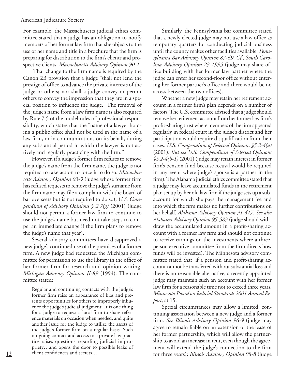For example, the Massachusetts judicial ethics committee stated that a judge has an obligation to notify members of her former law firm that she objects to the use of her name and title in a brochure that the firm is preparing for distribution to the firm's clients and prospective clients. *Massachusetts Advisory Opinion 90-1.*

 That change to the firm name is required by the Canon 2B provision that a judge ''shall not lend the prestige of office to advance the private interests of the judge or others; nor shall a judge convey or permit others to convey the impression that they are in a special position to influence the judge.'' The removal of the judge's name from a law firm name is also required by Rule 7.5 of the model rules of professional responsibility, which states that the ''name of a lawyer holding a public office shall not be used in the name of a law firm, or in communications on its behalf, during any substantial period in which the lawyer is not actively and regularly practicing with the firm.''

However, if a judge's former firm refuses to remove the judge's name from the firm name, the judge is not required to take action to force it to do so. *Massachusetts Advisory Opinion 03-9* (judge whose former firm has refused requests to remove the judge's surname from the firm name may file a complaint with the board of bar overseers but is not required to do so); *U.S. Compendium of Advisory Opinions § 2.7(g)* (2001) (judge should not permit a former law firm to continue to use the judge's name but need not take steps to compel an immediate change if the firm plans to remove the judge's name that year).

Several advisory committees have disapproved a new judge's continued use of the premises of a former firm. A new judge had requested the Michigan committee for permission to use the library in the office of her former firm for research and opinion writing. *Michigan Advisory Opinion JI-89* (1994). The committee stated:

Regular and continuing contacts with the judge's former firm raise an appearance of bias and presents opportunities for others to improperly influence the judge's judicial judgment. It is one thing for a judge to request a local firm to share reference materials on occasion when needed, and quite another issue for the judge to utilize the assets of the judge's former firm on a regular basis. Such on-going contact and access to a private law practice raises questions regarding judicial impropriety…and opens the door to possible leaks of client confidences and secrets….

Similarly, the Pennsylvania bar committee stated that a newly elected judge may not use a law office as temporary quarters for conducting judicial business until the county makes other facilities available. *Pennsylvania Bar Advisory Opinion 87-69*. *Cf., South Carolina Advisory Opinion 23-1995* (judge may share office building with her former law partner where the judge can enter her second-floor office without entering her former partner's office and there would be no access between the two offices).

Whether a new judge may retain her retirement account in a former firm's plan depends on a number of factors. The U.S. committee advised that a judge should remove her retirement account from her former law firm's profit-sharing trust where members of the firm appeared regularly in federal court in the judge's district and her participation would require disqualification from their cases. *U.S. Compendium of Selected Opinions §5.2-4(a)* (2001). *But see U.S. Compendium of Selected Opinions §5.2-4(b-1)* (2001) (judge may retain interest in former firm's pension fund because recusal would be required in any event where judge's spouse is a partner in the firm). The Alabama judicial ethics committee stated that a judge may leave accumulated funds in the retirement plan set up by her old law firm if the judge sets up a subaccount for which she pays the management fee and into which the firm makes no further contributions on her behalf. *Alabama Advisory Opinion 91-417*. *See also Alabama Advisory Opinion 95-583* (judge should withdraw the accumulated amount in a profit-sharing account with a former law firm and should not continue to receive earnings on the investments where a threeperson executive committee from the firm directs how funds will be invested). The Minnesota advisory committee stated that, if a pension and profit-sharing account cannot be transferred without substantial loss and there is no reasonable alternative, a recently appointed judge may maintain such an account with her former law firm for a reasonable time not to exceed three years. *Minnesota Board on Judicial Standards 2001 Annual Report*, at 15.

Special circumstances may allow a limited, continuing association between a new judge and a former firm. *See Illinois Advisory Opinion 96-9* (judge may agree to remain liable on an extension of the lease of her former partnership, which will allow the partnership to avoid an increase in rent, even though the agreement will extend the judge's connection to the firm for three years); *Illinois Advisory Opinion 98-8* (judge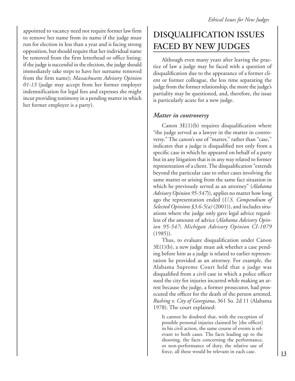appointed to vacancy need not require former law firm to remove her name from its name if the judge must run for election in less than a year and is facing strong opposition, but should require that her individual name be removed from the firm letterhead or office listing; if the judge is successful in the election, the judge should immediately take steps to have her surname removed from the firm name); *Massachusetts Advisory Opinion 01-13* (judge may accept from her former employer indemnification for legal fees and expenses she might incur providing testimony in a pending matter in which her former employer is a party).

## **DISQUALIFICATION ISSUES FACED BY NEW JUDGES**

Although even many years after leaving the practice of law a judge may be faced with a question of disqualification due to the appearance of a former client or former colleague, the less time separating the judge from the former relationship, the more the judge's partiality may be questioned, and, therefore, the issue is particularly acute for a new judge.

### *Matter in controversy*

Canon  $3E(1)(b)$  requires disqualification where ''the judge served as a lawyer in the matter in controversy.'' The canon's use of ''matter,'' rather than ''case,'' indicates that a judge is disqualified not only from a specific case in which he appeared on behalf of a party but in any litigation that is in any way related to former representation of a client. The disqualification "extends beyond the particular case to other cases involving the same matter or arising from the same fact situation in which he previously served as an attorney" (*Alabama Advisory Opinion 95-547*)), applies no matter how long ago the representation ended (*U.S. Compendium of Selected Opinions §3.6-5(a)* (2001)), and includes situations where the judge only gave legal advice regardless of the amount of advice (*Alabama Advisory Opinion 95-547*; *Michigan Advisory Opinion CI-1079* (1985)).

Thus, to evaluate disqualification under Canon 3E(1)(b), a new judge must ask whether a case pending before him as a judge is related to earlier representation he provided as an attorney. For example, the Alabama Supreme Court held that a judge was disqualified from a civil case in which a police officer sued the city for injuries incurred while making an arrest because the judge, a former prosecutor, had prosecuted the officer for the death of the person arrested. *Rushing v. City of Georgiana*, 361 So. 2d 11 (Alabama 1978). The court explained:

It cannot be doubted that, with the exception of possible personal injuries claimed by [the officer] in his civil action, the same course of events is relevant to both cases. The facts leading up to the shooting, the facts concerning the performance, or non-performance of duty, the relative use of force, all these would be relevant in each case.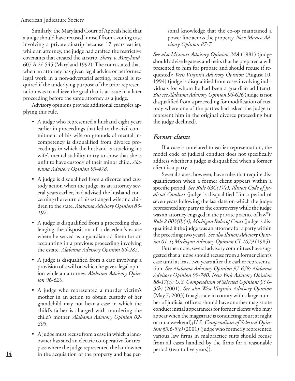Similarly, the Maryland Court of Appeals held that a judge should have recused himself from a zoning case involving a private airstrip because 17 years earlier, while an attorney, the judge had drafted the restrictive covenants that created the airstrip. *Sharp v. Maryland*, 607 A.2d 545 (Maryland 1992). The court stated that, when an attorney has given legal advice or performed legal work in a non-adversarial setting, recusal is required if the underlying purpose of the prior representation was to achieve the goal that is at issue in a later proceeding before the same attorney as a judge.

Advisory opinions provide additional examples applying this rule.

- A judge who represented a husband eight years earlier in proceedings that led to the civil commitment of his wife on grounds of mental incompetency is disqualified from divorce proceedings in which the husband is attacking his wife's mental stability to try to show that she is unfit to have custody of their minor child. *Alabama Advisory Opinion 93-478.*
- A judge is disqualified from a divorce and custody action when the judge, as an attorney several years earlier, had advised the husband concerning the return of his estranged wife and children to the state. *Alabama Advisory Opinion 83- 197*.
- A judge is disqualified from a proceeding challenging the disposition of a decedent's estate where he served as a guardian ad litem for an accounting in a previous proceeding involving the estate. *Alabama Advisory Opinion 86-285*.
- A judge is disqualified from a case involving a provision of a will on which he gave a legal opinion while an attorney. *Alabama Advisory Opinion 96-620*.
- A judge who represented a murder victim's mother in an action to obtain custody of her grandchild may not hear a case in which the child's father is charged with murdering the child's mother. *Alabama Advisory Opinion 02- 805*.
- A judge must recuse from a case in which a landowner has sued an electric co-operative for trespass where the judge represented the landowner in the acquisition of the property and has per-

sonal knowledge that the co-op maintained a power line across the property. *New Mexico Advisory Opinion 87-7*.

*See also Missouri Advisory Opinion 24A* (1981) (judge should advise legatees and heirs that he prepared a will presented to him for probate and should recuse if requested); *West Virginia Advisory Opinion* (August 10, 1994) (judge is disqualified from cases involving individuals for whom he had been a guardian ad litem). *But see Alabama Advisory Opinion 96-626* (judge is not disqualified from a proceeding for modification of custody where one of the parties had asked the judge to represent him in the original divorce proceeding but the judge declined).

## *Former clients*

If a case is unrelated to earlier representation, the model code of judicial conduct does not specifically address whether a judge is disqualified when a former client is a party.

Several states, however, have rules that require disqualification when a former client appears within a specific period. *See Rule 63C(1)(c), Illinois Code of Judicial Conduct* (judge is disqualified "for a period of seven years following the last date on which the judge represented any party to the controversy while the judge was an attorney engaged in the private practice of law"); *Rule 2.003(B)(4), Michigan Rules of Court* (judge is disqualified if the judge was an attorney for a party within the preceding two years). *See also Illinois Advisory Opinion 01-1*; *Michigan Advisory Opinion CI-1079* (1985).

Furthermore, several advisory committees have suggested that a judge should recuse from a former client's case until at least two years after the earlier representation. *See Alabama Advisory Opinion 97-658; Alabama Advisory Opinion 99-740; New York Advisory Opinion 88-17(c); U.S. Compendium of Selected Opinions §3.6- 5(b)* (2001). *See also West Virginia Advisory Opinion* (May 7, 2003) (magistrate in county with a large number of judicial officers should have another magistrate conduct initial appearances for former clients who may appear when the magistrate is conducting court at night or on a weekend);*U.S. Compendium of Selected Opinions §3.6-5(c)* (2001) (judge who formerly represented various law firms in malpractice suits should recuse from all cases handled by the firms for a reasonable period (two to five years)).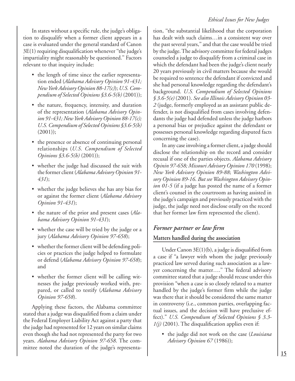In states without a specific rule, the judge's obligation to disqualify when a former client appears in a case is evaluated under the general standard of Canon 3E(1) requiring disqualification whenever ''the judge's impartiality might reasonably be questioned.'' Factors relevant to that inquiry include:

- the length of time since the earlier representation ended (*Alabama Advisory Opinion 91-431; New York Advisory Opinion 88-17(c)*); *U.S. Compendium of Selected Opinions §3.6-5(b)* (2001));
- the nature, frequency, intensity, and duration of the representation (*Alabama Advisory Opinion 91-431; New York Advisory Opinion 88-17(c); U.S. Compendium of Selected Opinions §3.6-5(b)*  $(2001))$ ;
- the presence or absence of continuing personal relationships (*U.S. Compendium of Selected Opinions §3.6-5(b)* (2001));
- whether the judge had discussed the suit with the former client (*Alabama Advisory Opinion 91- 431*);
- whether the judge believes she has any bias for or against the former client (*Alabama Advisory Opinion 91-431*);
- the nature of the prior and present cases (*Alabama Advisory Opinion 91-431*);
- whether the case will be tried by the judge or a jury (*Alabama Advisory Opinion 97-658*);
- whether the former client will be defending policies or practices the judge helped to formulate or defend (*Alabama Advisory Opinion 97-658*); and
- whether the former client will be calling witnesses the judge previously worked with, prepared, or called to testify (*Alabama Advisory Opinion 97-658*).

Applying these factors, the Alabama committee stated that a judge was disqualified from a claim under the Federal Employer Liability Act against a party that the judge had represented for 12 years on similar claims even though she had not represented the party for two years. *Alabama Advisory Opinion 97-658*. The committee noted the duration of the judge's representation, ''the substantial likelihood that the corporation has dealt with such claims…in a consistent way over the past several years,'' and that the case would be tried by the judge. The advisory committee for federal judges counseled a judge to disqualify from a criminal case in which the defendant had been the judge's client nearly 20 years previously in civil matters because she would be required to sentence the defendant if convicted and she had personal knowledge regarding the defendant's background. *U.S. Compendium of Selected Opinions § 3.6-5(e)* (2001). *See also Illinois Advisory Opinion 03- 2* (judge, formerly employed as an assistant public defender, is not disqualified from cases involving defendants the judge had defended unless the judge harbors a personal bias or prejudice against the defendant or possesses personal knowledge regarding disputed facts concerning the case).

In any case involving a former client, a judge should disclose the relationship on the record and consider recusal if one of the parties objects. *Alabama Advisory Opinin 97-658; Missouri Advisory Opinion 170* (1998); *New York Advisory Opinion 89-88*; *Washington Advisory Opinion 89-16*. *But see Washington Advisory Opinion 01-5* (if a judge has posted the name of a former client's counsel in the courtroom as having assisted in the judge's campaign and previously practiced with the judge, the judge need not disclose orally on the record that her former law firm represented the client).

## *Former partner or law firm*

## **Matters handled during the association**

Under Canon 3E(1)(b), a judge is disqualified from a case if ''a lawyer with whom the judge previously practiced law served during such association as a lawyer concerning the matter….'' The federal advisory committee stated that a judge should recuse under this provision "when a case is so closely related to a matter handled by the judge's former firm while the judge was there that it should be considered the same matter in controversy (i.e., common parties, overlapping factual issues, and the decision will have preclusive effect)." *U.S. Compendium of Selected Opinions § 3.3- 1(j)* (2001). The disqualification applies even if:

• the judge did not work on the case (*Louisiana Advisory Opinion 67* (1986));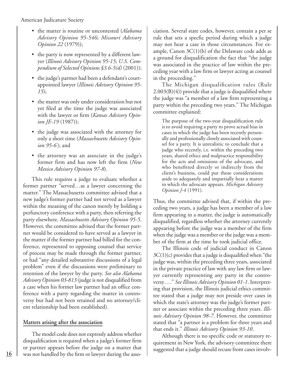- the matter is routine or uncontested (*Alabama Advisory Opinion 95-546*; *Missouri Advisory Opinion 22* (1979));
- the party is now represented by a different lawyer (*Illinois Advisory Opinion 95-15; U.S. Compendium of Selected Opinions §3.6-5(d)* (2001));
- the judge's partner had been a defendant's courtappointed lawyer (*Illinois Advisory Opinion 95- 15*);
- the matter was only under consideration but not yet filed at the time the judge was associated with the lawyer or firm (*Kansas Advisory Opinion JE-19* (1987));
- the judge was associated with the attorney for only a short time (*Massachusetts Advisory Opinion 95-6* ); and
- the attorney was an associate in the judge's former firm and has now left the firm (*New Mexico Advisory Opinion 97-8*).

This rule requires a judge to evaluate whether a former partner "served…as a lawyer concerning the matter." The Massachusetts committee advised that a new judge's former partner had not served as a lawyer within the meaning of the canon merely by holding a perfunctory conference with a party, then referring the party elsewhere. *Massachusetts Advisory Opinion 95-5*. However, the committee advised that the former partner would be considered to have served as a lawyer in the matter if the former partner had billed for the conference, represented to opposing counsel that service of process may be made through the former partner, or had ''any detailed substantive discussions of a legal problem" even if the discussions were preliminary to retention of the lawyer by the party. *See also Alabama Advisory Opinion 03-813* (judge is not disqualified from a case when his former law partner had an office conference with a party regarding the matter in controversy but had not been retained and no attorney/client relationship had been established).

### **Matters arising after the association**

The model code does not expressly address whether disqualification is required when a judge's former firm or partner appears before the judge on a matter that was not handled by the firm or lawyer during the association. Several state codes, however, contain a per se rule that sets a specfic period during which a judge may not hear a case in those circumstances. For example, Canon  $3C(1)(b)$  of the Delaware code adds as a ground for disqualification the fact that ''the judge was associated in the practice of law within the preceding year with a law firm or lawyer acting as counsel in the proceeding.''

The Michigan disqualification rules (Rule 2.003(B)(4)) provide that a judge is disqualified where the judge was ''a member of a law firm representing a party within the preceding two years.'' The Michigan committee explained:

The purpose of the two-year disqualification rule is to avoid requiring a party to prove actual bias in cases in which the judge has been recently personally and professionally closely associated with counsel for a party. It is unrealistic to conclude that a judge who recently, i.e. within the preceding two years, shared ethics and malpractice responsibility for the acts and omissions of the advocate, and who benefitted directly or indirectly from the client's business, could put those considerations aside to adequately and impartially hear a matter in which the advocate appears. *Michigan Advisory Opinion J-4* (1991).

Thus, the committee advised that, if within the preceding two years, a judge has been a member of a law firm appearing in a matter, the judge is automatically disqualified, regardless whether the attorney currently appearing before the judge was a member of the firm when the judge was a member or the judge was a member of the firm at the time he took judicial office.

The Illinois code of judicial conduct in Canon  $3C(1)(c)$  provides that a judge is disqualified when "the judge was, within the preceding three years, associated in the private practice of law with any law firm or lawyer currently representing any party in the controversy….'' *See Illinois Advisory Opinion 01-1*. Interpreting that provision, the Illinois judicial ethics committee stated that a judge may not preside over cases in which the state's attorney was the judge's former partner or associate within the preceding three years. *Illinois Advisory Opinion 98-7*. However, the committee stated that ''a partner is a problem for three years and that ends it.'' *Illinois Advisory Opinion 93-10*.

Although there is no specific code or statutory requirement in New York, the advisory committee there suggested that a judge should recuse from cases involv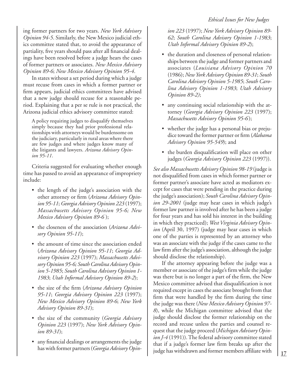ing former partners for two years. *New York Advisory Opinion 94-5*. Similarly, the New Mexico judicial ethics committee stated that, to avoid the appearance of partiality, five years should pass after all financial dealings have been resolved before a judge hears the cases of former partners or associates. *New Mexico Advisory Opinion 89-6*; *New Mexico Advisory Opinion 95-4*.

In states without a set period during which a judge must recuse from cases in which a former partner or firm appears, judicial ethics committees have advised that a new judge should recuse for a reasonable period. Explaining that a per se rule is not practical, the Arizona judicial ethics advisory committee stated:

A policy requiring judges to disqualify themselves simply because they had prior professional relationships with attorneys would be burdensome on the judiciary, particularly in rural areas where there are few judges and where judges know many of the litigants and lawyers. *Arizona Advisory Opinion 95-11*.

Criteria suggested for evaluating whether enough time has passed to avoid an appearance of impropriety include:

- the length of the judge's association with the other attorney or firm (*Arizona Advisory Opinion 95-11*; *Georgia Advisory Opinion 223* (1997); *Massachusetts Advisory Opinion 95-6; New Mexico Advisory Opinion 89-6* );
- the closeness of the association (*Arizona Advisory Opinion 95-11*);
- the amount of time since the association ended (*Arizona Advisory Opinion 95-11*; *Georgia Advisory Opinion 223* (1997); *Massachusetts Advisory Opinion 95-6; South Carolina Advisory Opinion 5-1985*; *South Carolina Advisory Opinion 1- 1983*; *Utah Informal Advisory Opinion 89-2*);
- the size of the firm (*Arizona Advisory Opinion 95-11*; *Georgia Advisory Opinion 223* (1997); *New Mexico Advisory Opinion 89-6*; *New York Advisory Opinion 89-31*);
- the size of the community (*Georgia Advisory Opinion 223* (1997); *New York Advisory Opinion 89-31*);
- any financial dealings or arrangements the judge has with former partners (*Georgia Advisory Opin-*

*ion 223* (1997); *New York Advisory Opinion 89- 62*; *South Carolina Advisory Opinion 1-1983*; *Utah Informal Advisory Opinion 89-2*);

- the duration and closeness of personal relationships between the judge and former partners and associates (*Louisiana Advisory Opinion 70* (1986); *New York Advisory Opinion 89-31*; *South Carolina Advisory Opinion 5-1985*; *South Carolina Advisory Opinion 1-1983*; *Utah Advisory Opinion 89-2)*;
- any continuing social relationship with the attorney (*Georgia Advisory Opinion 223* (1997); *Massachusetts Advisory Opinion 95-6*);
- whether the judge has a personal bias or prejudice toward the former partner or firm (*Alabama Advisory Opinion 95-549*); and
- the burden disqualification will place on other judges (*Georgia Advisory Opinion 223* (1997)).

*See also Massachusetts Advisory Opinion 98-19* (judge is not disqualified from cases in which former partner or former partner's associate have acted as mediators except for cases that were pending in the practice during the judge's association); *South Carolina Advisory Opinion 29-2001* (judge may hear cases in which judge's former law partner is involved after he has been a judge for four years and has sold his interest in the building in which they practiced); *West Virginia Advisory Opinion* (April 30, 1997) (judge may hear cases in which one of the parties is represented by an attorney who was an associate with the judge if the cases came to the law firm after the judge's association, although the judge should disclose the relationship).

If the attorney appearing before the judge was a member or associate of the judge's firm while the judge was there but is no longer a part of the firm, the New Mexico committee advised that disqualification is not required except in cases the associate brought from that firm that were handled by the firm during the time the judge was there (*New Mexico Advisory Opinion 97- 8*), while the Michigan committee advised that the judge should disclose the former relationship on the record and recuse unless the parties and counsel request that the judge proceed (*Michigan Advisory Opinion J-4* (1991)). The federal advisory committee stated that if a judge's former law firm breaks up after the judge has withdrawn and former members affiliate with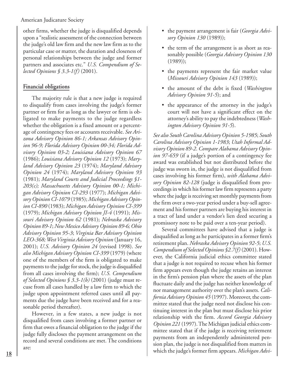other firms, whether the judge is disqualified depends upon a "realistic assessment of the connection between the judge's old law firm and the new law firm as to the particular case or matter, the duration and closeness of personal relationships between the judge and former partners and associates etc." *U.S. Compendium of Selected Opinions § 3.3-1(f)* (2001).

### **Financial obligations**

The majority rule is that a new judge is required to disqualify from cases involving the judge's former partner or firm for as long as the lawyer or firm is obligated to make payments to the judge regardless whether the obligation is a fixed amount or a percentage of contingency fees or accounts receivable. *See Arizona Advisory Opinion 86-1; Arkansas Advisory Opinion 96-9; Florida Advisory Opinion 00-34; Florida Advisory Opinion 03-2; Louisiana Advisory Opinion 67* (1986); *Louisiana Advisory Opinion 12* (1973); *Maryland Advisory Opinion 23* (1974); *Maryland Advisory Opinion 24* (1974); *Maryland Advisory Opinion 93* (1981); *Maryland Courts and Judicial Proceedings §1- 203(c); Massachusetts Advisory Opinion 00-1; Michigan Advisory Opinion CI-293* (1977); *Michigan Advisory Opinion CI-1079* (1985); *Michigan Advisory Opinion CI-890* (1983); *Michigan Advisory Opinion CI-399* (1979); *Michigan Advisory Opinion JI-4* (1991); *Missouri Advisory Opinion 62* (1981); *Nebraska Advisory Opinion 89-1*; *New Mexico Advisory Opinion 89-6; Ohio Advisory Opinion 95-3*; *Virginia Bar Advisory Opinion LEO-368; West Virginia Advisory Opinion* (January 16, 2001); *U.S. Advisory Opinion 24* (revised 1998). *See also Michigan Advisory Opinion CI-399* (1979) (where one of the members of the firm is obligated to make payments to the judge for stock, the judge is disqualified from all cases involving the firm); *U.S. Compendium of Selected Opinions § 3.3-1(b)* (2001) (judge must recuse from all cases handled by a law firm to which the judge upon appointment referred cases until all payments due the judge have been received and for a reasonable period thereafter).

However, in a few states, a new judge is not disqualified from cases involving a former partner or firm that owes a financial obligation to the judge if the judge fully discloses the payment arrangement on the record and several conditions are met. The conditions are:

- the payment arrangement is fair (*Georgia Advisory Opinion 130* (1989));
- the term of the arrangement is as short as reasonably possible (*Georgia Advisory Opinion 130* (1989));
- the payments represent the fair market value (*Missouri Advisory Opinion 143* (1989));
- the amount of the debt is fixed (*Washington Advisory Opinion 91-5*); and
- the appearance of the attorney in the judge's court will not have a significant effect on the attorney's ability to pay the indebtedness (*Washington Advisory Opinion 91-5*).

*See also South Carolina Advisory Opinion 5-1985*; *South Carolina Advisory Opinion 1-1983*; *Utah Informal Advisory Opinion 89-2*. *Compare Alabama Advisory Opinion 97-659* (if a judge's portion of a contingency fee award was established but not distributed before the judge was sworn in, the judge is not disqualified from cases involving his former firm), *with Alabama Advisory Opinion 82-128* (judge is disqualified from proceedings in which his former law firm represents a party where the judge is receiving set monthly payments from the firm over a two-year period under a buy-sell agreement and his former partners are buying his interest in a tract of land under a vendor's lien deed securing a promissory note to be paid over a ten-year period).

Several committees have advised that a judge is disqualified as long as he participates in a former firm's retirement plan. *Nebraska Advisory Opinion 92-5*; *U.S. Compendium of Selected Opinions §2.7(f)* (2001). However, the California judicial ethics committee stated that a judge is not required to recuse when his former firm appears even though the judge retains an interest in the firm's pension plan where the assets of the plan fluctuate daily and the judge has neither knowledge of nor management authority over the plan's assets. *California Advisory Opinion 45* (1997). Moreover, the committee stated that the judge need not disclose his continuing interest in the plan but must disclose his prior relationship with the firm. *Accord Georgia Advisory Opinion 221* (1997). The Michigan judicial ethics committee stated that if the judge is receiving retirement payments from an independently administered pension plan, the judge is not disqualified from matters in which the judge's former firm appears. *Michigan Advi-*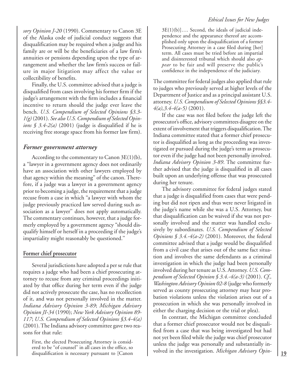*sory Opinion J-20* (1990). Commentary to Canon 3E of the Alaska code of judicial conduct suggests that disqualification may be required when a judge and his family are or will be the beneficiaries of a law firm's annuities or pensions depending upon the type of arrangement and whether the law firm's success or failure in major litigation may affect the value or collectibility of benefits.

Finally, the U.S. committee advised that a judge is disqualified from cases involving his former firm if the judge's arrangement with the firm includes a financial incentive to return should the judge ever leave the bench. *U.S. Compendium of Selected Opinions §3.3- 1(g)* (2001). *See also U.S. Compendium of Selected Opinions § 3.4-2(a)* (2001) (judge is disqualified if he is receiving free storage space from his former law firm).

#### *Former government attorney*

According to the commentary to Canon  $3E(1)(b)$ , a ''lawyer in a government agency does not ordinarily have an association with other lawyers employed by that agency within the meaning'' of the canon. Therefore, if a judge was a lawyer in a government agency prior to becoming a judge, the requirement that a judge recuse from a case in which ''a lawyer with whom the judge previously practiced law served during such association as a lawyer'' does not apply automatically. The commentary continues, however, that a judge formerly employed by a government agency "should disqualify himself or herself in a proceeding if the judge's impartiality might reasonably be questioned.''

### **Former chief prosecutor**

Several jurisdictions have adopted a per se rule that requires a judge who had been a chief prosecuting attorney to recuse from any criminal proceedings initiated by that office during her term even if the judge did not actively prosecute the case, has no recollection of it, and was not personally involved in the matter. *Indiana Advisory Opinion 3-89*; *Michigan Advisory Opinion JI-34* (1990); *New York Advisory Opinion 89- 117*; *U.S. Compendium of Selected Opinions §3.4-4(a)* (2001). The Indiana advisory committee gave two reasons for that rule:

First, the elected Prosecuting Attorney is considered to be ''of counsel'' in all cases in the office, so disqualification is necessary pursuant to [Canon

3E(1)(b)]…. Second, the ideals of judicial independence and the appearance thereof are accomplished only upon the disqualification of a former Prosecuting Attorney in a case filed during [her] term. All cases must be tried before an impartial and disinterested tribunal which should also *appear* to be fair and will preserve the public's confidence in the independence of the judiciary.

The committee for federal judges also applied that rule to judges who previously served at higher levels of the Department of Justice and as a principal assistant U.S. attorney. *U.S. Compendium of Selected Opinions §§3.4- 4(a),3.4-4(a-5)* (2001).

If the case was not filed before the judge left the prosecutor's office, advisory committees disagree on the extent of involvement that triggers disqualification. The Indiana committee stated that a former chief prosecutor is disqualified as long as the proceeding was investigated or pursued during the judge's term as prosecutor even if the judge had not been personally involved. *Indiana Advisory Opinion 3-89*. The committee further advised that the judge is disqualified in all cases built upon an underlying offense that was prosecuted during her tenure.

The advisory committee for federal judges stated that a judge is disqualified from cases that were pending but did not ripen and thus were never litigated in the judge's name while she was a U.S. Attorney, but that disqualification can be waived if she was not personally involved and the matter was handled exclusively by subordinates. *U.S. Compendium of Selected Opinions § 3.4.-4(a-2)* (2001). Moreover, the federal committee advised that a judge would be disqualified from a civil case that arises out of the same fact situation and involves the same defendants as a criminal investigation in which the judge had been personally involved during her tenure as U.S. Attorney. *U.S. Compendium of Selected Opinion § 3.4.-4(a-3)* (2001). *Cf., Washington Advisory Opinion 02-8* (judge who formerly served as county prosecuting attorney may hear probation violations unless the violation arises out of a prosecution in which she was personally involved in either the charging decision or the trial or plea).

In contrast, the Michigan committee concluded that a former chief prosecutor would not be disqualified from a case that was being investigated but had not yet been filed while the judge was chief prosecutor unless the judge was personally and substantially involved in the investigation. *Michigan Advisory Opin-*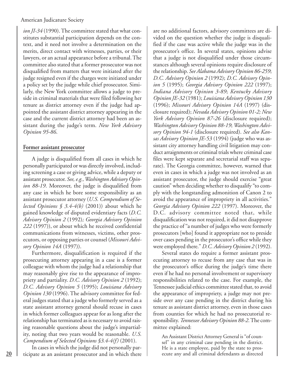*ion JI-34* (1990). The committee stated that what constitutes substantial participation depends on the context, and it need not involve a determination on the merits, direct contact with witnesses, parties, or their lawyers, or an actual appearance before a tribunal. The committee also stated that a former prosecutor was not disqualified from matters that were initiated after the judge resigned even if the charges were initiated under a policy set by the judge while chief prosecutor. Similarly, the New York committee allows a judge to preside in criminal materials that were filed following her tenure as district attorney even if the judge had appointed the assistant district attorney appearing in the case and the current district attorney had been an assistant during the judge's term. *New York Advisory Opinion 95-86*.

#### **Former assistant prosecutor**

A judge is disqualified from all cases in which he personally participated or was directly involved, including screening a case or giving advice, while a deputy or assistant prosecutor. *See, e.g., Washington Advisory Opinion 88-19*. Moreover, the judge is disqualified from any case in which he bore some responsibility as an assistant prosecutor attorney (*U.S. Compendium of Selected Opinions § 3.4-4(b)* (2001)) about which he gained knowledge of disputed evidentiary facts (*D.C. Advisory Opinion 2* (1992)*; Georgia Advisory Opinion 222* (1997)), or about which he received confidential communications from witnesses, victims, other prosecutors, or opposing parties or counsel (*Missouri Advisory Opinion 14A* (1997)).

Furthermore, disqualification is required if the prosecuting attorney appearing in a case is a former colleague with whom the judge had a relationship that may reasonably give rise to the appearance of impropriety and partiality. *D.C. Advisory Opinion 2* (1992); *D.C. Advisory Opinion 5* (1995); *Louisiana Advisory Opinion 130* (1996). The advisory committee for federal judges stated that a judge who formerly served as a state assistant attorney general should recuse in cases in which former colleagues appear for as long after the relationship has terminated as is necessary to avoid raising reasonable questions about the judge's impartiality, noting that two years would be reasonable. *U.S. Compendium of Selected Opinions §3.4-4(f)* (2001).

In cases in which the judge did not personally participate as an assistant prosecutor and in which there

are no additional factors, advisory committees are divided on the question whether the judge is disqualified if the case was active while the judge was in the prosecutor's office. In several states, opinions advise that a judge is not disqualified under those circumstances although several opinions require disclosure of the relationship. *See Alabama Advisory Opinion 86-259*; *D.C. Advisory Opinion 2* (1992); *D.C. Advisory Opinion 5* (1995); *Georgia Advisory Opinion 222* (1997); *Indiana Advisory Opinion 3-89*; *Kentucky Advisory Opinion JE-32* (1981); *Louisiana Advisory Opinion 130* (1996); *Missouri Advisory Opinion 14A* (1997) (disclosure required); *Nevada Advisory Opinion 01-2; New York Advisory Opinion 87-26* (disclosure required); *Washington Advisory Opinion 88-19*; *Washington Advisory Opinion 94-1* (disclosure required). *See also Kansas Advisory Opinion JE-53* (1994) (judge who was assistant city attorney handling civil litigation may conduct arraignments or criminal trials where criminal case files were kept separate and secretarial staff was separate). The Georgia committee, however, warned that even in cases in which a judge was not involved as an assistant prosecutor, the judge should exercise "great caution" when deciding whether to disqualify "to comply with the longstanding admonition of Canon 2 to avoid the appearance of impropriety in all activities." *Georgia Advisory Opinion 222* (1997). Moreover, the D.C. advisory committee noted that, while disqualification was not required, it did not disapprove the practice of ''a number of judges who were formerly prosecutors [who] found it appropriate not to preside over cases pending in the prosecutor's office while they were employed there.'' *D.C. Advisory Opinion 2* (1992).

Several states do require a former assistant prosecuting attorney to recuse from any case that was in the prosecutor's office during the judge's time there even if he had no personal involvement or supervisory responsibilities related to the case. For example, the Tennessee judicial ethics committee stated that, to avoid the appearance of impropriety, a judge may not preside over any case pending in the district during his tenure as assistant district attorney, even in those cases from counties for which he had no prosecutorial responsibility. *Tennessee Advisory Opinion 88-2*. The committee explained:

An Assistant District Attorney General is ''of counsel'' in any criminal case pending in the district. He is a state employee, paid by the state to prosecute any and all criminal defendants as directed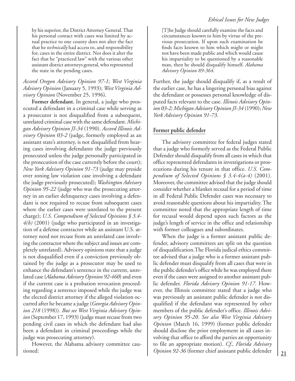by his superior, the District Attorney General. That his personal contact with cases was limited by actual practice to one county does not alter the fact that he *technically* had access to, and responsibility for, cases in the entire district. Nor does it alter the fact that he "practiced law" with the various other assistant district attorneys general, who represented the state in the pending cases.

#### *Accord Oregon Advisory Opinion 97-1*; *West Virginia Advisory Opinion* (January 5, 1993); *West Virginia Advisory Opinion* (November 25, 1996).

**Former defendant.** In general, a judge who prosecuted a defendant in a criminal case while serving as a prosecutor is not disqualified from a subsequent, unrelated criminal case with the same defendant. *Michigan Advisory Opinion JI-34* (1990). *Accord Illinois Advisory Opinion 03-2* (judge, formerly employed as an assistant state's attorney, is not disqualified from hearing cases involving defendants the judge previously prosecuted unless the judge personally participated in the prosecution of the case currently before the court); *New York Advisory Opinion 91-73* (judge may preside over zoning law violation case involving a defendant the judge previously prosecuted); *Washington Advisory Opinion 95-22* (judge who was the prosecuting attorney in an earlier delinquency cases involving a defendant is not required to recuse from subsequent cases where the earlier cases were unrelated to the present charge); *U.S. Compendium of Selected Opinions § 3.4- 4(b)* (2001) (judge who participated in an investigation of a defense contractor while an assistant U.S. attorney need not recuse from an unrelated case involving the contractor where the subject and issues are completely unrelated). Advisory opinions state that a judge is not disqualified even if a conviction previously obtained by the judge as a prosecutor may be used to enhance the defendant's sentence in the current, unrelated case (*Alabama Advisory Opinion 92-460*) and even if the current case is a probation revocation proceeding regarding a sentence imposed while the judge was the elected district attorney if the alleged violation occurred after he became a judge (*Georgia Advisory Opinion 218* (1998)). *But see West Virginia Advisory Opinion* (September 17, 1993) (judge must recuse from two pending civil cases in which the defendant had also been a defendant in criminal proceedings while the judge was prosecuting attorney).

However, the Alabama advisory committee cautioned:

[T]he Judge should carefully examine the facts and circumstances known to him by virtue of the previous prosecution. If upon such examination he finds facts known to him which might or might not have been made public and which would cause his impartiality to be questioned by a reasonable man, then he should disqualify himself. *Alabama Advisory Opinion 89-364*.

Further, the judge should disqualify if, as a result of the earlier case, he has a lingering personal bias against the defendant or possesses personal knowledge of disputed facts relevant to the case. *Illinois Advisory Opinion 03-2; Michigan Advisory Opinion JI-34* (1990); *New York Advisory Opinion 91-73*.

## **Former public defender**

The advisory committee for federal judges stated that a judge who formerly served as the Federal Public Defender should disqualify from all cases in which that office represented defendants in investigations or prosecutions during his tenure in that office. *U.S. Compendium of Selected Opinions § 3.4-4(a-4)* (2001). Moreover, the committee advised that the judge should consider whether a blanket recusal for a period of time in all Federal Public Defender cases was necessary to avoid reasonable questions about his impartiality. The committee noted that the appropriate length of time for recusal would depend upon such factors as the judge's length of service in the office and relationship with former colleagues and subordinates.

When the judge is a former assistant public defender, advisory committees are split on the question of disqualification.The Florida judical ethics committee advised that a judge who is a former assistant public defender must disqualify from all cases that were in the public defender's office while he was employed there even if the cases were assigned to another assistant public defender. *Florida Advisory Opinion 91-17*. However, the Illinois committee stated that a judge who was previously an assistant public defender is not disqualified if the defendant was represented by other members of the public defender's office. *Illinois Advisory Opinion 95-20*. *See also West Virginia Advisory Opinion* (March 16, 1999) (former public defender should disclose the prior employment in all cases involving that office to afford the parties an opportunity to file an appropriate motion). *Cf., Florida Advisory Opinion 92-36* (former chief assistant public defender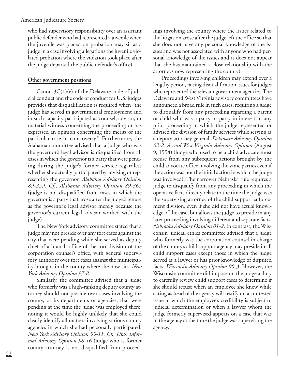who had supervisory responsibility over an assistant public defender who had represented a juvenile when the juvenile was placed on probation may sit as a judge in a case involving allegations the juvenile violated probation where the violation took place after the judge departed the public defender's office).

### **Other government positions**

Canon 3C(1)(e) of the Delaware code of judicial conduct and the code of conduct for U.S. judges provides that disqualification is required when ''the judge has served in governmental employment and in such capacity participated as counsel, advisor, or material witness concerning the proceeding or has expressed an opinion concerning the merits of the particular case in controversy.'' Furthermore, the Alabama committee advised that a judge who was the governor's legal advisor is disqualified from all cases in which the governor is a party that were pending during the judge's former service regardless whether she actually participated by advising or representing the governor. *Alabama Advisory Opinion 89-359*. *Cf., Alabama Advisory Opinion 89-365* (judge is not disqualified from cases in which the governor is a party that arose after the judge's tenure as the governor's legal advisor merely because the governor's current legal advisor worked with the judge).

The New York advisory committee stated that a judge may not preside over any tort cases against the city that were pending while she served as deputy chief of a branch office of the tort division of the corporation counsel's office, with general supervisory authority over tort cases against the municipality brought in the county where she now sits. *New York Advisory Opinion 97-8.*

Similarly, the committee advised that a judge who formerly was a high-ranking deputy county attorney should not preside over cases involving the county, or its departments or agencies, that were pending at the time the judge was employed there, noting it would be highly unlikely that she could clearly identify all matters involving various county agencies in which she had personally participated. *New York Advisory Opinion 99-11. Cf., Utah Informal Advisory Opinion 98-16* (judge who is former county attorney is not disqualified from proceedings involving the county where the issues related to the litigation arose after the judge left the office so that she does not have any personal knowledge of the issues and was not associated with anyone who had personal knowledge of the issues and it does not appear that she has maintained a close relationship with the attorneys now representing the county).

Proceedings involving children may extend over a lengthy period, raising disqualification issues for judges who represented the relevant government agencies. The Delaware and West Virginia advisory committees have announced a broad rule in such cases, requiring a judge to disqualify from any proceeding regarding a parent or child who was a party or party-in-interest in any prior proceeding in which the judge represented or advised the division of family services while serving as a deputy attorney general. *Delaware Advisory Opinion 02-2. Accord West Virginia Advisory Opinion* (August 9, 1994) (judge who used to be a child advocate must recuse from any subsequent actions brought by the child advocate office involving the same parties even if the action was not the initial action in which the judge was involved). The narrower Nebraska rule requires a judge to disqualify from any proceeding in which the operative facts directly relate to the time the judge was the supervising attorney of the child support enforcement division, even if she did not have actual knowledge of the case, but allows the judge to preside in any later proceeding involving different and separate facts. *Nebraska Advisory Opinion 01-2*. In contrast, the Wisconsin judicial ethics committee advised that a judge who formerly was the corporation counsel in charge of the county's child support agency may preside in all child support cases except those in which the judge served as a lawyer or has prior knowledge of disputed facts. *Wisconsin Advisory Opinion 00-3*. However, the Wisconsin committee did impose on the judge a duty to carefully review child support cases to determine if she should recuse when an employee she knew while acting as head of the agency will testify on a contested issue in which the employee's credibility is subject to judicial determination or when a lawyer whom the judge formerly supervised appears on a case that was in the agency at the time the judge was supervising the agency.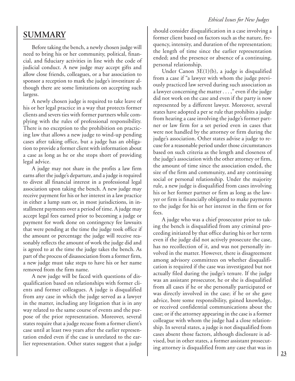## **SUMMARY**

Before taking the bench, a newly chosen judge will need to bring his or her community, political, financial, and fiduciary activities in line with the code of judicial conduct. A new judge may accept gifts and allow close friends, colleagues, or a bar association to sponsor a reception to mark the judge's investiture although there are some limitations on accepting such largess.

A newly chosen judge is required to take leave of his or her legal practice in a way that protects former clients and severs ties with former partners while complying with the rules of professional responsibility. There is no exception to the prohibition on practicing law that allows a new judge to wind-up pending cases after taking office, but a judge has an obligation to provide a former client with information about a case as long as he or she stops short of providing legal advice.

A judge may not share in the profits a law firm earns after the judge's departure, and a judge is required to divest all financial interest in a professional legal association upon taking the bench. A new judge may receive payment for his or her interest in a law practice in either a lump sum or, in most jurisdictions, in installment payments over a period of time. A judge may accept legal fees earned prior to becoming a judge or payment for work done on contingency fee lawsuits that were pending at the time the judge took office if the amount or percentage the judge will receive reasonably reflects the amount of work the judge did and is agreed to at the time the judge takes the bench. As part of the process of disassociation from a former firm, a new judge must take steps to have his or her name removed from the firm name.

A new judge will be faced with questions of disqualification based on relationships with former clients and former colleagues. A judge is disqualified from any case in which the judge served as a lawyer in the matter, including any litigation that is in any way related to the same course of events and the purpose of the prior representation. Moreover, several states require that a judge recuse from a former client's case until at least two years after the earlier representation ended even if the case is unrelated to the earlier representation. Other states suggest that a judge

should consider disqualification in a case involving a former client based on factors such as the nature, frequency, intensity, and duration of the representation; the length of time since the earlier representation ended; and the presence or absence of a continuing, personal relationship.

Under Canon 3E(1)(b), a judge is disqualified from a case if "a lawyer with whom the judge previously practiced law served during such association as a lawyer concerning the matter . . . ," even if the judge did not work on the case and even if the party is now represented by a different lawyer. Moreover, several states have adopted a per se rule that prohibits a judge from hearing a case involving the judge's former partner or law firm for a set period even in cases that were not handled by the attorney or firm during the judge's association. Other states advise a judge to recuse for a reasonable period under those circumstances based on such criteria as the length and closeness of the judge's association with the other attorney or firm, the amount of time since the association ended, the size of the firm and community, and any continuing social or personal relationship. Under the majority rule, a new judge is disqualified from cases involving his or her former partner or firm as long as the lawyer or firm is financially obligated to make payments to the judge for his or her interest in the firm or for fees.

A judge who was a chief prosecutor prior to taking the bench is disqualified from any criminal proceeding initiated by that office during his or her term even if the judge did not actively prosecute the case, has no recollection of it, and was not personally involved in the matter. However, there is disagreement among advisory committees on whether disqualification is required if the case was investigated but not actually filed during the judge's tenure. If the judge was an assistant prosecutor, he or she is disqualified from all cases if he or she personally participated or was directly involved in the case; if he or she gave advice, bore some responsibility, gained knowledge, or received confidential communications about the case; or if the attorney appearing in the case is a former colleague with whom the judge had a close relationship. In several states, a judge is not disqualified from cases absent those factors, although disclosure is advised, but in other states, a former assistant prosecuting attorney is disqualified from any case that was in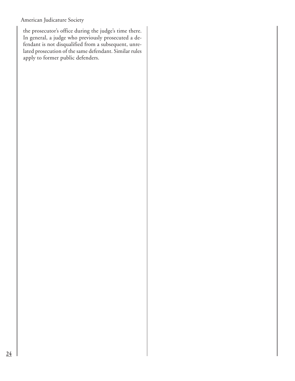the prosecutor's office during the judge's time there. In general, a judge who previously prosecuted a defendant is not disqualified from a subsequent, unrelated prosecution of the same defendant. Similar rules apply to former public defenders.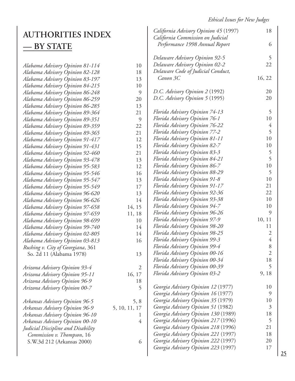*California Advisory Opinion 45* (1997) 18

 *Performance 1998 Annual Report* 6

*California Commission on Judicial*

## **AUTHORITIES INDEX — BY STATE**

|                                    |                | Delaware Advisory Opinion 92-5      | 5              |
|------------------------------------|----------------|-------------------------------------|----------------|
| Alabama Advisory Opinion 81-114    | 10             | Delaware Advisory Opinion 02-2      | 22             |
| Alabama Advisory Opinion 82-128    | 18             | Delaware Code of Judicial Conduct,  |                |
| Alabama Advisory Opinion 83-197    | 13             | Canon 3C                            | 16, 22         |
| Alabama Advisory Opinion 84-215    | 10             |                                     |                |
| Alabama Advisory Opinion 86-248    | 9              | D.C. Advisory Opinion 2 (1992)      | 20             |
| Alabama Advisory Opinion 86-259    | 20             | D.C. Advisory Opinion 5 (1995)      | 20             |
| Alabama Advisory Opinion 86-285    | 13             |                                     |                |
| Alabama Advisory Opinion 89-364    | 21             | Florida Advisory Opinion 74-13      | 5              |
| Alabama Advisory Opinion 89-351    | 9              | Florida Advisory Opinion 76-1       | 10             |
| Alabama Advisory Opinion 89-359    | 22             | Florida Advisory Opinion 76-22      | 4              |
| Alabama Advisory Opinion 89-365    | 21             | Florida Advisory Opinion 77-2       | 5              |
| Alabama Advisory Opinion 91-417    | 12             | Florida Advisory Opinion 81-11      | 10             |
| Alabama Advisory Opinion 91-431    | 15             | Florida Advisory Opinion 82-7       | 10             |
| Alabama Advisory Opinion 92-460    | 21             | Florida Advisory Opinion 83-3       | 5              |
| Alabama Advisory Opinion 93-478    | 13             | Florida Advisory Opinion 84-21      | 5              |
| Alabama Advisory Opinion 95-583    | 12             | Florida Advisory Opinion 86-7       | 10             |
| Alabama Advisory Opinion 95-546    | 16             | Florida Advisory Opinion 88-29      | 5              |
| Alabama Advisory Opinion 95-547    | 13             | Florida Advisory Opinion 91-8       | 10             |
| Alabama Advisory Opinion 95-549    | 17             | Florida Advisory Opinion 91-17      | 21             |
| Alabama Advisory Opinion 96-620    | 13             | Florida Advisory Opinion 92-36      | 22             |
| Alabama Advisory Opinion 96-626    | 14             | Florida Advisory Opinion 93-38      | 10             |
| Alabama Advisory Opinion 97-658    | 14, 15         | Florida Advisory Opinion 94-7       | 10             |
| Alabama Advisory Opinion 97-659    | 11, 18         | Florida Advisory Opinion 96-26      | 9              |
| Alabama Advisory Opinion 98-699    | 10             | Florida Advisory Opinion 97-9       | 10, 11         |
| Alabama Advisory Opinion 99-740    | 14             | Florida Advisory Opinion 98-20      | 11             |
| Alabama Advisory Opinion 02-805    | 14             | Florida Advisory Opinion 98-25      | $\mathfrak{2}$ |
| Alabama Advisory Opinion 03-813    | 16             | Florida Advisory Opinion 99-3       | $\overline{4}$ |
| Rushing v. City of Georgiana, 361  |                | Florida Advisory Opinion 99-4       | 8              |
| So. 2d 11 (Alabama 1978)           | 13             | Florida Advisory Opinion 00-16      | $\overline{2}$ |
|                                    |                | Florida Advisory Opinion 00-34      | 18             |
| Arizona Advisory Opinion 93-4      | $\overline{2}$ | Florida Advisory Opinion 00-39      | 5              |
| Arizona Advisory Opinion 95-11     | 16, 17         | Florida Advisory Opinion 03-2       | 9, 18          |
| Arizona Advisory Opinion 96-9      | 18             |                                     |                |
| Arizona Advisory Opinion 00-7      | 5              | Georgia Advisory Opinion 12 (1977)  | 10             |
|                                    |                | Georgia Advisory Opinion 16 (1977)  | 9              |
| Arkansas Advisory Opinion 96-5     | 5, 8           | Georgia Advisory Opinion 35 (1979)  | 10             |
| Arkansas Advisory Opinion 96-9     | 5, 10, 11, 17  | Georgia Advisory Opinion 51 (1982)  | $\mathfrak{Z}$ |
| Arkansas Advisory Opinion 96-10    | 1              | Georgia Advisory Opinion 130 (1989) | 18             |
| Arkansas Advisory Opinion 00-10    | $\overline{4}$ | Georgia Advisory Opinion 217 (1996) | 5              |
| Judicial Discipline and Disability |                | Georgia Advisory Opinion 218 (1996) | 21             |
| Commission v. Thompson, 16         |                | Georgia Advisory Opinion 221 (1997) | 18             |
| S.W.3d 212 (Arkansas 2000)         | 6              | Georgia Advisory Opinion 222 (1997) | 20             |
|                                    |                | Georgia Advisory Opinion 223 (1997) | 17             |
|                                    |                |                                     |                |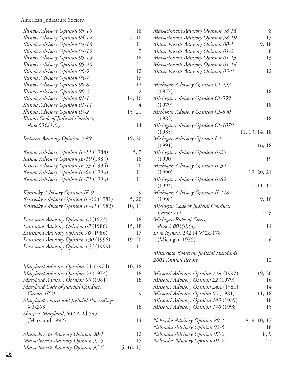| Illinois Advisory Opinion 93-10            | 16             |
|--------------------------------------------|----------------|
| Illinois Advisory Opinion 94-12            | 7,10           |
| Illinois Advisory Opinion 94-16            | 11             |
| Illinois Advisory Opinion 94-19            | 7              |
| Illinois Advisory Opinion 95-15            | 16             |
| <b>Illinois Advisory Opinion 95-20</b>     | 21             |
| Illinois Advisory Opinion 96-9             | 12             |
| Illinois Advisory Opinion 98-7             | 16             |
| <b>Illinois Advisory Opinion 98-8</b>      | 12             |
| <b>Illinois Advisory Opinion 99-2</b>      | $\mathfrak{2}$ |
|                                            | 14, 16         |
| Illinois Advisory Opinion 01-1             | - 4            |
| Illinois Advisory Opinion 01-11            |                |
| <b>Illinois Advisory Opinion 03-2</b>      | 15, 21         |
| Illinois Code of Judicial Conduct,         |                |
| Rule $63C(1)(c)$                           | 14             |
|                                            |                |
| Indiana Advisory Opinion 3-89              | 19, 20         |
|                                            |                |
| Kansas Advisory Opinion JE-11 (1984)       | 5,7            |
| Kansas Advisory Opinion JE-19 (1987)       | 16             |
| Kansas Advisory Opinion JE-53 (1994)       | 20             |
| Kansas Advisory Opinion JE-68 (1996)       | 11             |
| Kansas Advisory Opinion JE-71 (1996)       | 11             |
|                                            |                |
| Kentucky Advisory Opinion JE-9             | 9              |
| Kentucky Advisory Opinion JE-32 (1981)     | 5, 20          |
| Kentucky Advisory Opinion JE-41 (1982)     | 10, 11         |
|                                            |                |
| Louisiana Advisory Opinion 12 (1973)       | 18             |
| Louisiana Advisory Opinion 67 (1986)       | 15, 18         |
| Louisiana Advisory Opinion 70 (1986)       | 17             |
| Louisiana Advisory Opinion 130 (1996)      | 19, 20         |
| Louisiana Advisory Opinion 155 (1999)      | 11             |
|                                            |                |
|                                            |                |
|                                            |                |
| Maryland Advisory Opinion 23 (1974)        | 10, 18         |
| Maryland Advisory Opinion 24 (1974)        | 18             |
| Maryland Advisory Opinion 93 (1981)        | 18             |
| Maryland Code of Judicial Conduct,         |                |
| Canon 4I(2)                                | 9              |
| Maryland Courts and Judicial Proceedings   |                |
| $$1-203$                                   | 18             |
| <i>Sharp v. Maryland</i> , 607 A.2d 545    |                |
| (Maryland 1992)                            | 14             |
|                                            |                |
| <b>Massachusetts Advisory Opinion 90-1</b> | 12             |
| <b>Massachusetts Advisory Opinion 95-5</b> | 15             |
| Massachusetts Advisory Opinion 95-6        | 15, 16, 17     |
|                                            |                |

| Massachusetts Advisory Opinion 98-14        | 8              |
|---------------------------------------------|----------------|
| <b>Massachusetts Advisory Opinion 98-19</b> | 17             |
| <b>Massachusetts Advisory Opinion 00-1</b>  | 9,18           |
| <b>Massachusetts Advisory Opinion 01-2</b>  | 8              |
| Massachusetts Advisory Opinion 01-13        | 13             |
| Massachusetts Advisory Opinion 01-14        | $\overline{2}$ |
| <b>Massachusetts Advisory Opinion 03-9</b>  | 12             |
|                                             |                |
| Michigan Advisory Opinion CI-293            |                |
| (1977)                                      | 18             |
| Michigan Advisory Opinion CI-399            |                |
| (1979)                                      | 18             |
| Michigan Advisory Opinion CI-890            |                |
| (1983)                                      | 18             |
|                                             |                |
| Michigan Advisory Opinion CI-1079           |                |
| (1985)                                      | 11, 13, 14, 18 |
| Michigan Advisory Opinion J-4               |                |
| (1991)                                      | 16, 18         |
| Michigan Advisory Opinion JI-20             |                |
| (1990)                                      | 19             |
| Michigan Advisory Opinion JI-34             |                |
| (1990)                                      | 19, 20, 21     |
| Michigan Advisory Opinion JI-89             |                |
| (1994)                                      | 7, 11, 12      |
| Michigan Advisory Opinion JI-118            |                |
| (1998)                                      | 9, 10          |
| Michigan Code of Judicial Conduct,          |                |
| Canon 7D                                    | 2, 3           |
| Michigan Rules of Court,                    |                |
| Rule 2.003(B)(4)                            | 14             |
| In re Ryman, 232 N.W.2d 178                 |                |
| (Michigan 1975)                             | 6              |
|                                             |                |
| Minnesota Board on Judicial Standards       |                |
| 2001 Annual Report                          | 12             |
|                                             |                |
| Missouri Advisory Opinion 14A (1997)        | 19, 20         |
|                                             | 16             |
| Missouri Advisory Opinion 22 (1979)         | 14             |
| Missouri Advisory Opinion 24A (1981)        |                |
| Missouri Advisory Opinion 62 (1981)         | 11, 18         |
| Missouri Advisory Opinion 143 (1989)        | 18             |
| Missouri Advisory Opinion 170 (1998)        | 15             |
|                                             |                |
| Nebraska Advisory Opinion 89-1              | 8, 9, 10, 17   |
| Nebraska Advisory Opinion 92-5              | 18             |
| Nebraska Advisory Opinion 97-2              | 8, 9           |
| Nebraska Advisory Opinion 01-2              | 22             |
|                                             |                |

 $\overline{\phantom{a}}$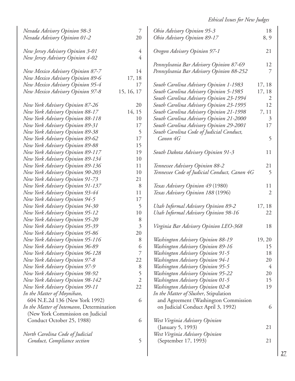| Nevada Advisory Opinion 98-3             | $\overline{7}$ | Ohio Advisory Opinion 95-3                   | 18             |
|------------------------------------------|----------------|----------------------------------------------|----------------|
| Nevada Advisory Opinion 01-2             | 20             | Ohio Advisory Opinion 89-17                  | 8, 9           |
|                                          |                |                                              |                |
| New Jersey Advisory Opinion 3-01         | 4              | Oregon Advisory Opinion 97-1                 | 21             |
| New Jersey Advisory Opinion 4-02         | $\overline{4}$ |                                              |                |
|                                          |                | Pennsylvania Bar Advisory Opinion 87-69      | 12             |
| New Mexico Advisory Opinion 87-7         | 14             | Pennsylvania Bar Advisory Opinion 88-252     | 7              |
| New Mexico Advisory Opinion 89-6         | 17, 18         |                                              |                |
| New Mexico Advisory Opinion 95-4         | 17             | South Carolina Advisory Opinion 1-1983       | 17, 18         |
| New Mexico Advisory Opinion 97-8         | 15, 16, 17     | South Carolina Advisory Opinion 5-1985       | 17, 18         |
|                                          |                | South Carolina Advisory Opinion 23-1994      | 2              |
| New York Advisory Opinion 87-26          | 20             | South Carolina Advisory Opinion 23-1995      | 12             |
| New York Advisory Opinion 88-17          | 14, 15         | South Carolina Advisory Opinion 21-1998      | 7, 11          |
| New York Advisory Opinion 88-118         | 10             | South Carolina Advisory Opinion 21-2000      | $\mathfrak{Z}$ |
| New York Advisory Opinion 89-31          | 17             | South Carolina Advisory Opinion 29-2001      | 17             |
| New York Advisory Opinion 89-38          | 5              | South Carolina Code of Judicial Conduct,     |                |
| New York Advisory Opinion 89-62          | 17             | Canon 4G                                     | 5              |
| New York Advisory Opinion 89-88          | 15             |                                              |                |
| New York Advisory Opinion 89-117         | 19             | South Dakota Advisory Opinion 91-3           | 11             |
| New York Advisory Opinion 89-134         | 10             |                                              |                |
| New York Advisory Opinion 89-136         | 11             | Tennessee Advisory Opinion 88-2              | 21             |
| New York Advisory Opinion 90-203         | 10             | Tennessee Code of Judicial Conduct, Canon 4G | 5              |
| New York Advisory Opinion 91-73          | 21             |                                              |                |
| New York Advisory Opinion 91-137         | 8              | Texas Advisory Opinion 49 (1980)             | 11             |
| New York Advisory Opinion 93-44          | 11             | Texas Advisory Opinion 188 (1996)            | $\overline{2}$ |
| New York Advisory Opinion 94-5           | 17             |                                              |                |
| New York Advisory Opinion 94-30          | 5              | Utah Informal Advisory Opinion 89-2          | 17, 18         |
| New York Advisory Opinion 95-12          | 10             | Utah Informal Advisory Opinion 98-16         | 22             |
| New York Advisory Opinion 95-20          | 8              |                                              |                |
| New York Advisory Opinion 95-39          | $\overline{3}$ | Virginia Bar Advisory Opinion LEO-368        | 18             |
| New York Advisory Opinion 95-86          | 20             |                                              |                |
| New York Advisory Opinion 95-116         | 8              | Washington Advisory Opinion 88-19            | 19, 20         |
| New York Advisory Opinion 96-89          | 6              | Washington Advisory Opinion 89-16            | 15             |
| New York Advisory Opinion 96-128         | 7              | Washington Advisory Opinion 91-5             | 18             |
| New York Advisory Opinion 97-8           | 22             | Washington Advisory Opinion 94-1             | 20             |
| New York Advisory Opinion 97-9           | 8              | Washington Advisory Opinion 95-5             | $\overline{4}$ |
| New York Advisory Opinion 98-92          | 5              | Washington Advisory Opinion 95-22            | 20             |
| New York Advisory Opinion 98-142         | $\overline{2}$ | Washington Advisory Opinion 01-5             | 15             |
| New York Advisory Opinion 99-11          | 22             | Washington Advisory Opinion 02-8             | 19             |
| In the Matter of Moynihan,               |                | In the Matter of Slusher, Stipulation        |                |
| 604 N.E.2d 136 (New York 1992)           | 6              | and Agreement (Washington Commission         |                |
| In the Matter of Intemann, Determination |                | on Judicial Conduct April 3, 1992)           | 6              |
|                                          |                |                                              |                |
| (New York Commission on Judicial         | 6              |                                              |                |
| Conduct October 25, 1988)                |                | West Virginia Advisory Opinion               |                |
|                                          |                | (January 5, 1993)                            | 21             |
| North Carolina Code of Judicial          |                | West Virginia Advisory Opinion               |                |
| Conduct, Compliance section              | 5              | (September 17, 1993)                         | 21             |
|                                          |                |                                              |                |

 $\overline{\phantom{a}}$